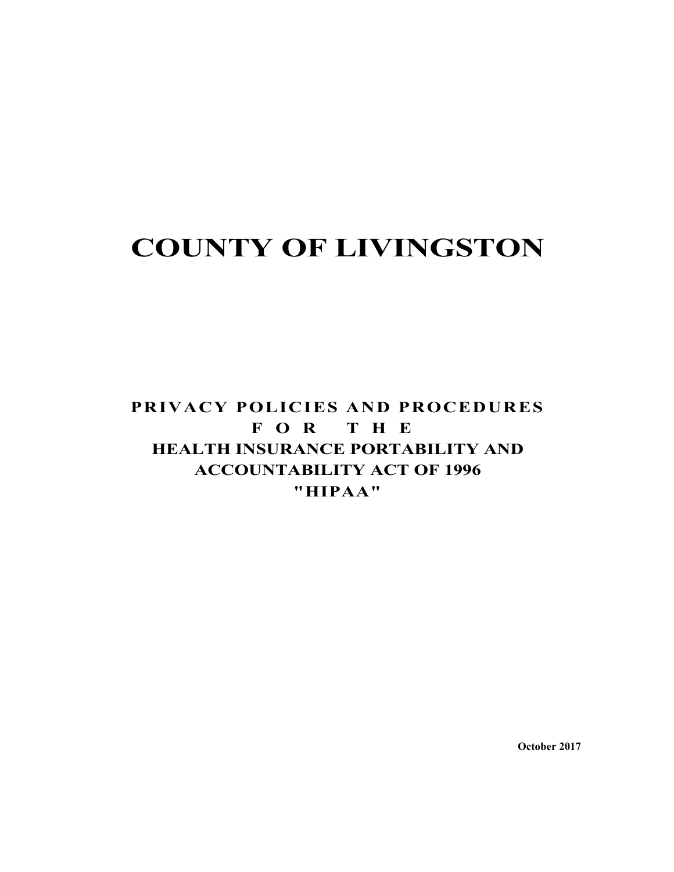## **COUNTY OF LIVINGSTON**

## **PRIVACY POLICIES AND PROCEDURES FOR THE HEALTH INSURANCE PORTABILITY AND ACCOUNTABILITY ACT OF 1996 "HIPAA"**

**October 2017**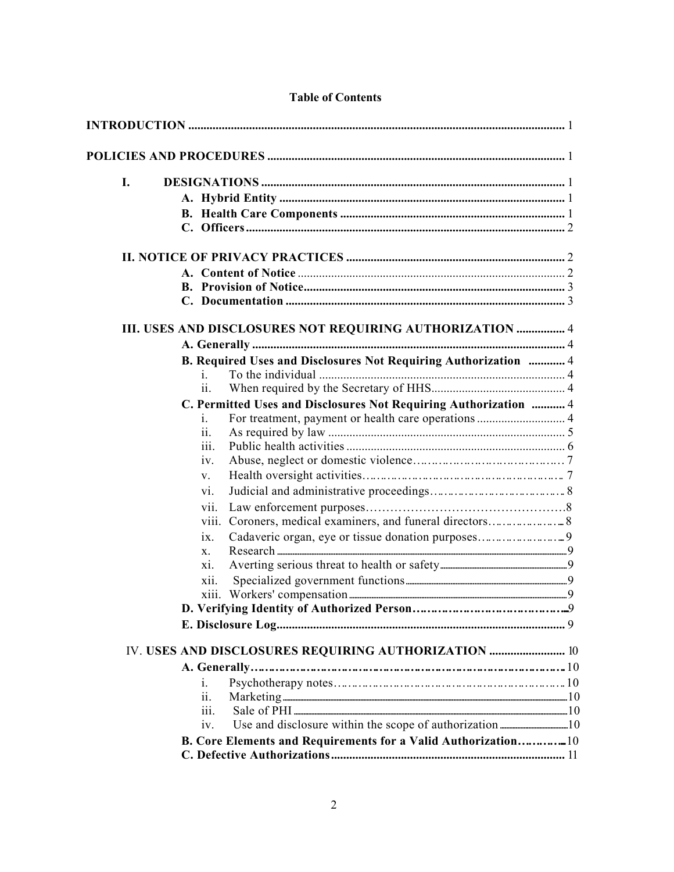| I. |                                                                  |  |
|----|------------------------------------------------------------------|--|
|    |                                                                  |  |
|    |                                                                  |  |
|    |                                                                  |  |
|    |                                                                  |  |
|    |                                                                  |  |
|    |                                                                  |  |
|    |                                                                  |  |
|    | III. USES AND DISCLOSURES NOT REQUIRING AUTHORIZATION  4         |  |
|    |                                                                  |  |
|    | B. Required Uses and Disclosures Not Requiring Authorization  4  |  |
|    | $\mathbf{1}$                                                     |  |
|    | 11.                                                              |  |
|    | C. Permitted Uses and Disclosures Not Requiring Authorization  4 |  |
|    | $\mathbf{1}$ .                                                   |  |
|    | 11.                                                              |  |
|    | 111.<br>iv.                                                      |  |
|    | $V_{\star}$                                                      |  |
|    |                                                                  |  |
|    | V1.                                                              |  |
|    | V11.<br>V111.                                                    |  |
|    | $\overline{1}X$ .                                                |  |
|    | X.                                                               |  |
|    | X1.                                                              |  |
|    | X11.                                                             |  |
|    |                                                                  |  |
|    |                                                                  |  |
|    |                                                                  |  |
|    | IV. USES AND DISCLOSURES REQUIRING AUTHORIZATION  10             |  |
|    |                                                                  |  |
|    | $\mathbf{1}$ .                                                   |  |
|    | 11.                                                              |  |
|    | iii.                                                             |  |
|    | iv.                                                              |  |
|    | B. Core Elements and Requirements for a Valid Authorization10    |  |
|    |                                                                  |  |

#### **Table of Contents**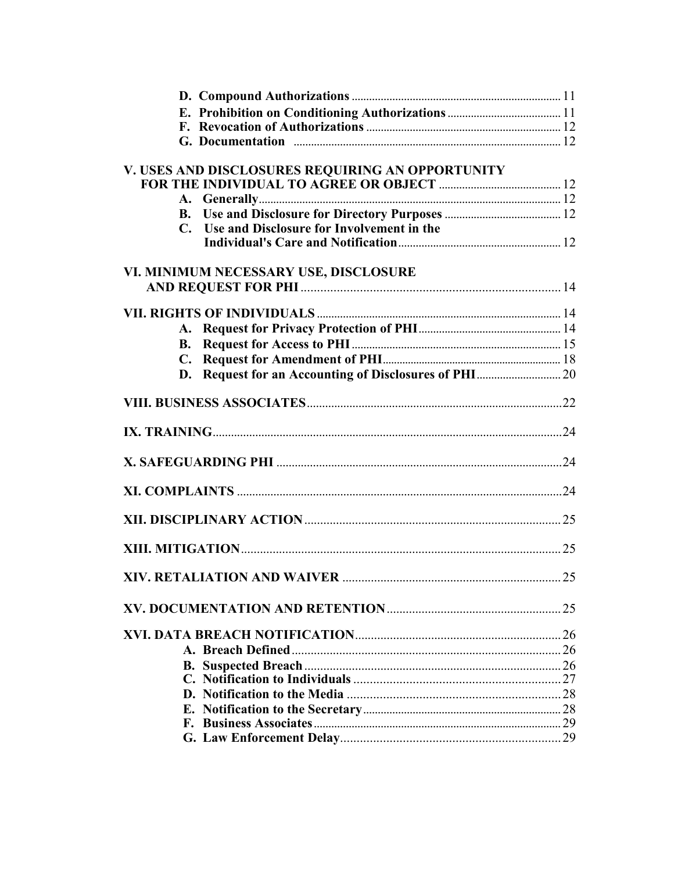| V. USES AND DISCLOSURES REQUIRING AN OPPORTUNITY |    |
|--------------------------------------------------|----|
|                                                  |    |
|                                                  |    |
|                                                  |    |
| C. Use and Disclosure for Involvement in the     |    |
|                                                  |    |
|                                                  |    |
| VI. MINIMUM NECESSARY USE, DISCLOSURE            |    |
|                                                  |    |
|                                                  |    |
|                                                  |    |
|                                                  |    |
|                                                  |    |
|                                                  |    |
|                                                  |    |
|                                                  |    |
|                                                  |    |
|                                                  |    |
|                                                  |    |
|                                                  |    |
|                                                  |    |
|                                                  |    |
|                                                  | 25 |
|                                                  | 25 |
|                                                  |    |
|                                                  |    |
|                                                  |    |
|                                                  |    |
|                                                  |    |
|                                                  |    |
|                                                  |    |
|                                                  |    |
|                                                  |    |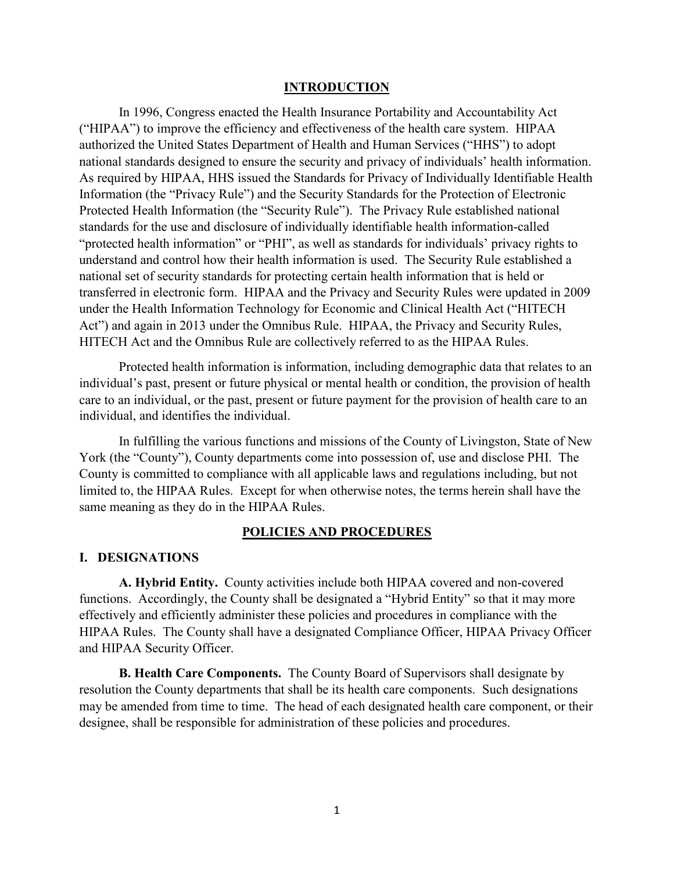#### **INTRODUCTION**

In 1996, Congress enacted the Health Insurance Portability and Accountability Act ("HIPAA") to improve the efficiency and effectiveness of the health care system. HIPAA authorized the United States Department of Health and Human Services ("HHS") to adopt national standards designed to ensure the security and privacy of individuals' health information. As required by HIPAA, HHS issued the Standards for Privacy of Individually Identifiable Health Information (the "Privacy Rule") and the Security Standards for the Protection of Electronic Protected Health Information (the "Security Rule"). The Privacy Rule established national standards for the use and disclosure of individually identifiable health information-called "protected health information" or "PHI", as well as standards for individuals' privacy rights to understand and control how their health information is used. The Security Rule established a national set of security standards for protecting certain health information that is held or transferred in electronic form. HIPAA and the Privacy and Security Rules were updated in 2009 under the Health Information Technology for Economic and Clinical Health Act ("HITECH Act") and again in 2013 under the Omnibus Rule. HIPAA, the Privacy and Security Rules, HITECH Act and the Omnibus Rule are collectively referred to as the HIPAA Rules.

Protected health information is information, including demographic data that relates to an individual's past, present or future physical or mental health or condition, the provision of health care to an individual, or the past, present or future payment for the provision of health care to an individual, and identifies the individual.

In fulfilling the various functions and missions of the County of Livingston, State of New York (the "County"), County departments come into possession of, use and disclose PHI. The County is committed to compliance with all applicable laws and regulations including, but not limited to, the HIPAA Rules. Except for when otherwise notes, the terms herein shall have the same meaning as they do in the HIPAA Rules.

#### **POLICIES AND PROCEDURES**

#### **I. DESIGNATIONS**

**A. Hybrid Entity.** County activities include both HIPAA covered and non-covered functions. Accordingly, the County shall be designated a "Hybrid Entity" so that it may more effectively and efficiently administer these policies and procedures in compliance with the HIPAA Rules. The County shall have a designated Compliance Officer, HIPAA Privacy Officer and HIPAA Security Officer.

**B. Health Care Components.** The County Board of Supervisors shall designate by resolution the County departments that shall be its health care components. Such designations may be amended from time to time. The head of each designated health care component, or their designee, shall be responsible for administration of these policies and procedures.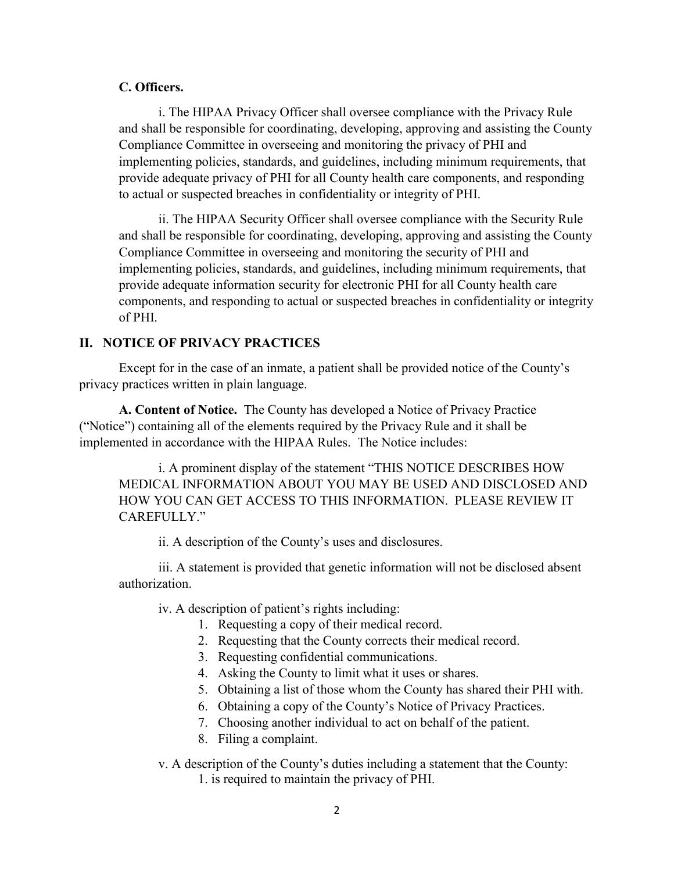#### **C. Officers.**

i. The HIPAA Privacy Officer shall oversee compliance with the Privacy Rule and shall be responsible for coordinating, developing, approving and assisting the County Compliance Committee in overseeing and monitoring the privacy of PHI and implementing policies, standards, and guidelines, including minimum requirements, that provide adequate privacy of PHI for all County health care components, and responding to actual or suspected breaches in confidentiality or integrity of PHI.

ii. The HIPAA Security Officer shall oversee compliance with the Security Rule and shall be responsible for coordinating, developing, approving and assisting the County Compliance Committee in overseeing and monitoring the security of PHI and implementing policies, standards, and guidelines, including minimum requirements, that provide adequate information security for electronic PHI for all County health care components, and responding to actual or suspected breaches in confidentiality or integrity of PHI.

## **II. NOTICE OF PRIVACY PRACTICES**

Except for in the case of an inmate, a patient shall be provided notice of the County's privacy practices written in plain language.

**A. Content of Notice.** The County has developed a Notice of Privacy Practice ("Notice") containing all of the elements required by the Privacy Rule and it shall be implemented in accordance with the HIPAA Rules. The Notice includes:

i. A prominent display of the statement "THIS NOTICE DESCRIBES HOW MEDICAL INFORMATION ABOUT YOU MAY BE USED AND DISCLOSED AND HOW YOU CAN GET ACCESS TO THIS INFORMATION. PLEASE REVIEW IT CAREFULLY"

ii. A description of the County's uses and disclosures.

iii. A statement is provided that genetic information will not be disclosed absent authorization.

iv. A description of patient's rights including:

- 1. Requesting a copy of their medical record.
- 2. Requesting that the County corrects their medical record.
- 3. Requesting confidential communications.
- 4. Asking the County to limit what it uses or shares.
- 5. Obtaining a list of those whom the County has shared their PHI with.
- 6. Obtaining a copy of the County's Notice of Privacy Practices.
- 7. Choosing another individual to act on behalf of the patient.
- 8. Filing a complaint.
- v. A description of the County's duties including a statement that the County: 1. is required to maintain the privacy of PHI.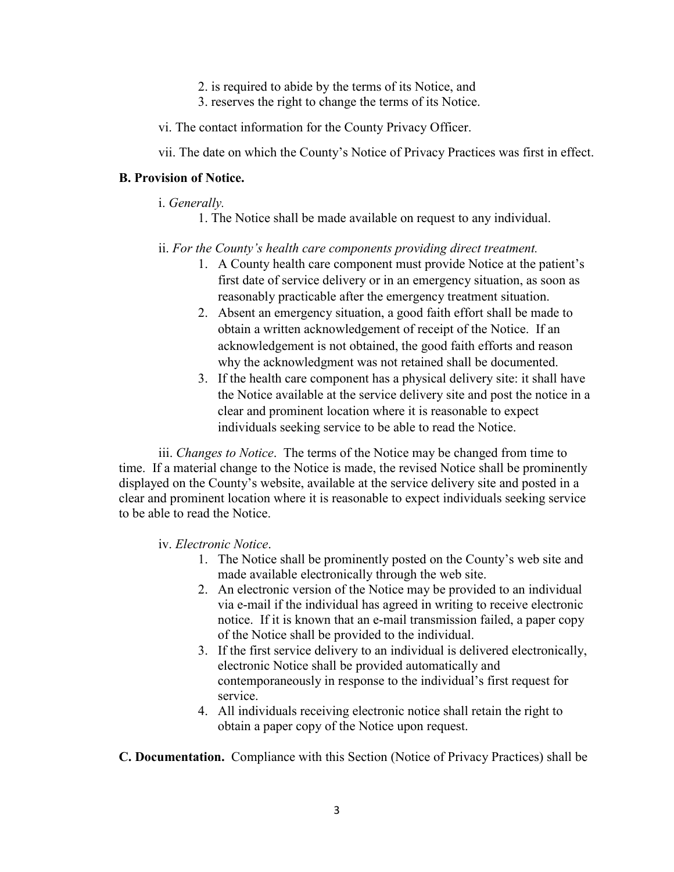- 2. is required to abide by the terms of its Notice, and
- 3. reserves the right to change the terms of its Notice.

vi. The contact information for the County Privacy Officer.

vii. The date on which the County's Notice of Privacy Practices was first in effect.

#### **B. Provision of Notice.**

- i. *Generally.*
	- 1. The Notice shall be made available on request to any individual.
- ii. *For the County's health care components providing direct treatment.*
	- 1. A County health care component must provide Notice at the patient's first date of service delivery or in an emergency situation, as soon as reasonably practicable after the emergency treatment situation.
	- 2. Absent an emergency situation, a good faith effort shall be made to obtain a written acknowledgement of receipt of the Notice. If an acknowledgement is not obtained, the good faith efforts and reason why the acknowledgment was not retained shall be documented.
	- 3. If the health care component has a physical delivery site: it shall have the Notice available at the service delivery site and post the notice in a clear and prominent location where it is reasonable to expect individuals seeking service to be able to read the Notice.

iii. *Changes to Notice*. The terms of the Notice may be changed from time to time. If a material change to the Notice is made, the revised Notice shall be prominently displayed on the County's website, available at the service delivery site and posted in a clear and prominent location where it is reasonable to expect individuals seeking service to be able to read the Notice.

iv. *Electronic Notice*.

- 1. The Notice shall be prominently posted on the County's web site and made available electronically through the web site.
- 2. An electronic version of the Notice may be provided to an individual via e-mail if the individual has agreed in writing to receive electronic notice. If it is known that an e-mail transmission failed, a paper copy of the Notice shall be provided to the individual.
- 3. If the first service delivery to an individual is delivered electronically, electronic Notice shall be provided automatically and contemporaneously in response to the individual's first request for service.
- 4. All individuals receiving electronic notice shall retain the right to obtain a paper copy of the Notice upon request.

**C. Documentation.** Compliance with this Section (Notice of Privacy Practices) shall be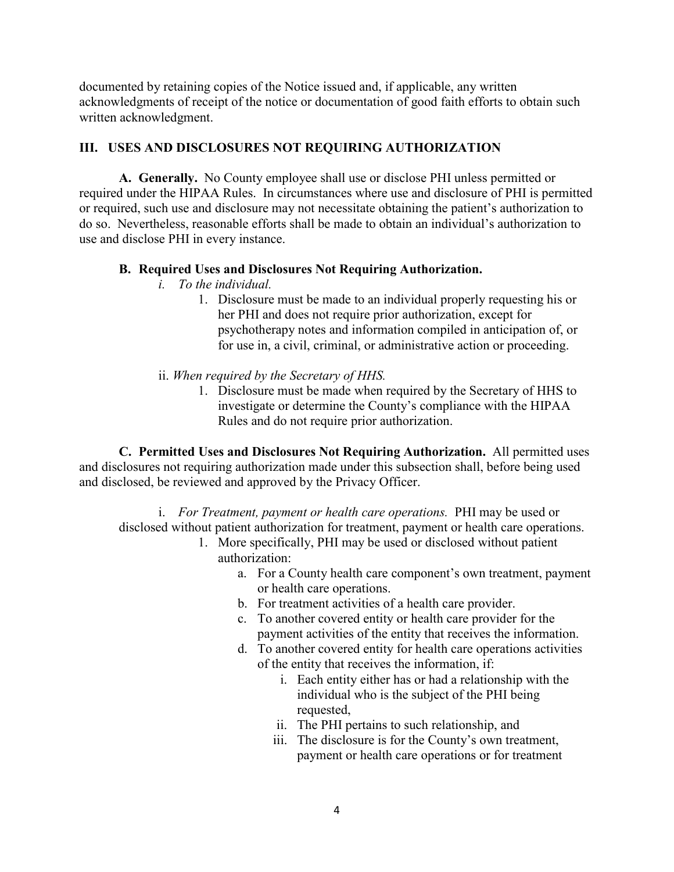documented by retaining copies of the Notice issued and, if applicable, any written acknowledgments of receipt of the notice or documentation of good faith efforts to obtain such written acknowledgment.

## **III. USES AND DISCLOSURES NOT REQUIRING AUTHORIZATION**

**A. Generally.** No County employee shall use or disclose PHI unless permitted or required under the HIPAA Rules. In circumstances where use and disclosure of PHI is permitted or required, such use and disclosure may not necessitate obtaining the patient's authorization to do so. Nevertheless, reasonable efforts shall be made to obtain an individual's authorization to use and disclose PHI in every instance.

## **B. Required Uses and Disclosures Not Requiring Authorization.**

- *i. To the individual.* 
	- 1. Disclosure must be made to an individual properly requesting his or her PHI and does not require prior authorization, except for psychotherapy notes and information compiled in anticipation of, or for use in, a civil, criminal, or administrative action or proceeding.
- ii. *When required by the Secretary of HHS.*
	- 1. Disclosure must be made when required by the Secretary of HHS to investigate or determine the County's compliance with the HIPAA Rules and do not require prior authorization.

**C. Permitted Uses and Disclosures Not Requiring Authorization.** All permitted uses and disclosures not requiring authorization made under this subsection shall, before being used and disclosed, be reviewed and approved by the Privacy Officer.

i. *For Treatment, payment or health care operations.* PHI may be used or disclosed without patient authorization for treatment, payment or health care operations.

- 1. More specifically, PHI may be used or disclosed without patient authorization:
	- a. For a County health care component's own treatment, payment or health care operations.
	- b. For treatment activities of a health care provider.
	- c. To another covered entity or health care provider for the payment activities of the entity that receives the information.
	- d. To another covered entity for health care operations activities of the entity that receives the information, if:
		- i. Each entity either has or had a relationship with the individual who is the subject of the PHI being requested,
		- ii. The PHI pertains to such relationship, and
		- iii. The disclosure is for the County's own treatment, payment or health care operations or for treatment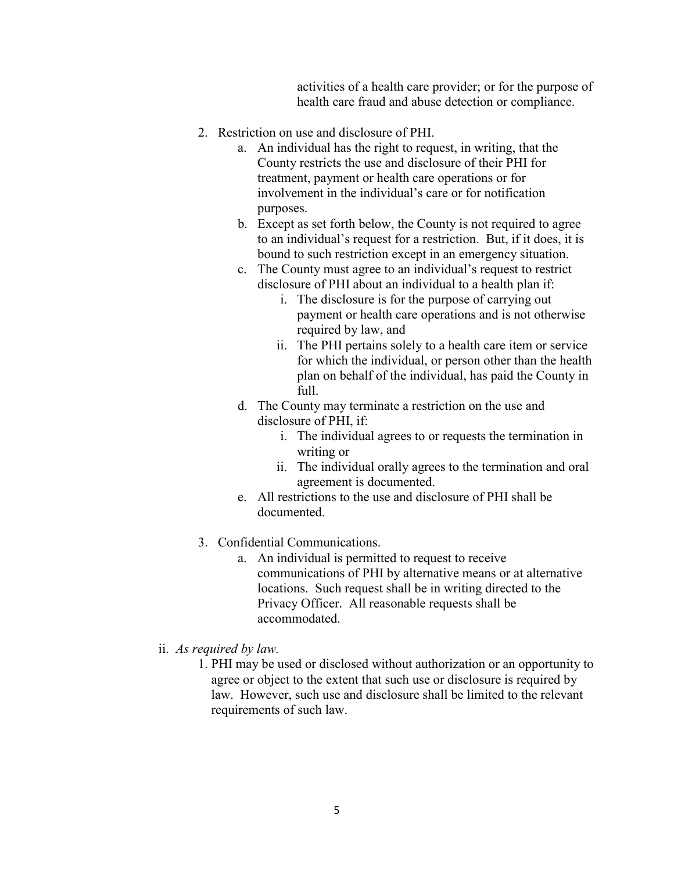activities of a health care provider; or for the purpose of health care fraud and abuse detection or compliance.

- 2. Restriction on use and disclosure of PHI.
	- a. An individual has the right to request, in writing, that the County restricts the use and disclosure of their PHI for treatment, payment or health care operations or for involvement in the individual's care or for notification purposes.
	- b. Except as set forth below, the County is not required to agree to an individual's request for a restriction. But, if it does, it is bound to such restriction except in an emergency situation.
	- c. The County must agree to an individual's request to restrict disclosure of PHI about an individual to a health plan if:
		- i. The disclosure is for the purpose of carrying out payment or health care operations and is not otherwise required by law, and
		- ii. The PHI pertains solely to a health care item or service for which the individual, or person other than the health plan on behalf of the individual, has paid the County in  $f_{11}$
	- d. The County may terminate a restriction on the use and disclosure of PHI, if:
		- i. The individual agrees to or requests the termination in writing or
		- ii. The individual orally agrees to the termination and oral agreement is documented.
	- e. All restrictions to the use and disclosure of PHI shall be documented.
- 3. Confidential Communications.
	- a. An individual is permitted to request to receive communications of PHI by alternative means or at alternative locations. Such request shall be in writing directed to the Privacy Officer. All reasonable requests shall be accommodated.
- ii. *As required by law.*
	- 1. PHI may be used or disclosed without authorization or an opportunity to agree or object to the extent that such use or disclosure is required by law. However, such use and disclosure shall be limited to the relevant requirements of such law.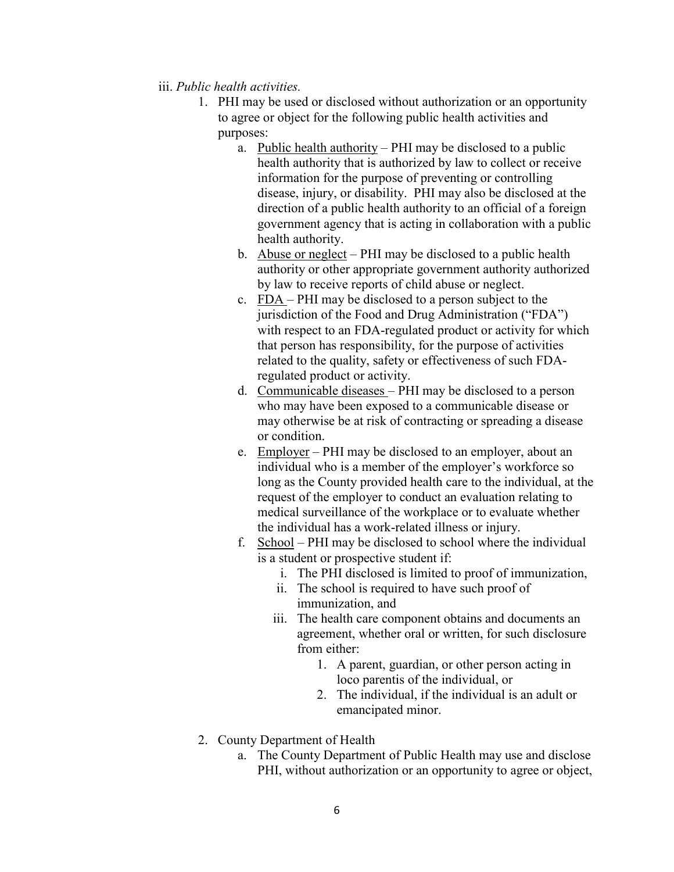- iii. *Public health activities.*
	- 1. PHI may be used or disclosed without authorization or an opportunity to agree or object for the following public health activities and purposes:
		- a. Public health authority PHI may be disclosed to a public health authority that is authorized by law to collect or receive information for the purpose of preventing or controlling disease, injury, or disability. PHI may also be disclosed at the direction of a public health authority to an official of a foreign government agency that is acting in collaboration with a public health authority.
		- b. Abuse or neglect PHI may be disclosed to a public health authority or other appropriate government authority authorized by law to receive reports of child abuse or neglect.
		- c. FDA PHI may be disclosed to a person subject to the jurisdiction of the Food and Drug Administration ("FDA") with respect to an FDA-regulated product or activity for which that person has responsibility, for the purpose of activities related to the quality, safety or effectiveness of such FDAregulated product or activity.
		- d. Communicable diseases PHI may be disclosed to a person who may have been exposed to a communicable disease or may otherwise be at risk of contracting or spreading a disease or condition.
		- e. Employer PHI may be disclosed to an employer, about an individual who is a member of the employer's workforce so long as the County provided health care to the individual, at the request of the employer to conduct an evaluation relating to medical surveillance of the workplace or to evaluate whether the individual has a work-related illness or injury.
		- f. School PHI may be disclosed to school where the individual is a student or prospective student if:
			- i. The PHI disclosed is limited to proof of immunization,
			- ii. The school is required to have such proof of immunization, and
			- iii. The health care component obtains and documents an agreement, whether oral or written, for such disclosure from either:
				- 1. A parent, guardian, or other person acting in loco parentis of the individual, or
				- 2. The individual, if the individual is an adult or emancipated minor.
	- 2. County Department of Health
		- a. The County Department of Public Health may use and disclose PHI, without authorization or an opportunity to agree or object,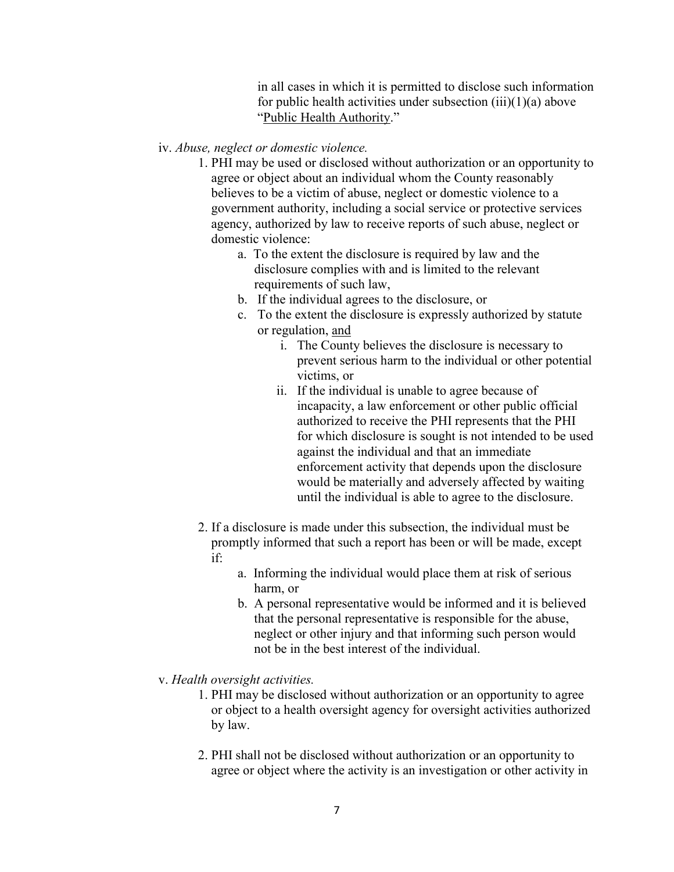in all cases in which it is permitted to disclose such information for public health activities under subsection (iii)(1)(a) above "Public Health Authority."

#### iv. *Abuse, neglect or domestic violence.*

- 1. PHI may be used or disclosed without authorization or an opportunity to agree or object about an individual whom the County reasonably believes to be a victim of abuse, neglect or domestic violence to a government authority, including a social service or protective services agency, authorized by law to receive reports of such abuse, neglect or domestic violence:
	- a. To the extent the disclosure is required by law and the disclosure complies with and is limited to the relevant requirements of such law,
	- b. If the individual agrees to the disclosure, or
	- c. To the extent the disclosure is expressly authorized by statute or regulation, and
		- i. The County believes the disclosure is necessary to prevent serious harm to the individual or other potential victims, or
		- ii. If the individual is unable to agree because of incapacity, a law enforcement or other public official authorized to receive the PHI represents that the PHI for which disclosure is sought is not intended to be used against the individual and that an immediate enforcement activity that depends upon the disclosure would be materially and adversely affected by waiting until the individual is able to agree to the disclosure.
- 2. If a disclosure is made under this subsection, the individual must be promptly informed that such a report has been or will be made, except if:
	- a. Informing the individual would place them at risk of serious harm, or
	- b. A personal representative would be informed and it is believed that the personal representative is responsible for the abuse, neglect or other injury and that informing such person would not be in the best interest of the individual.
- v. *Health oversight activities.*
	- 1. PHI may be disclosed without authorization or an opportunity to agree or object to a health oversight agency for oversight activities authorized by law.
	- 2. PHI shall not be disclosed without authorization or an opportunity to agree or object where the activity is an investigation or other activity in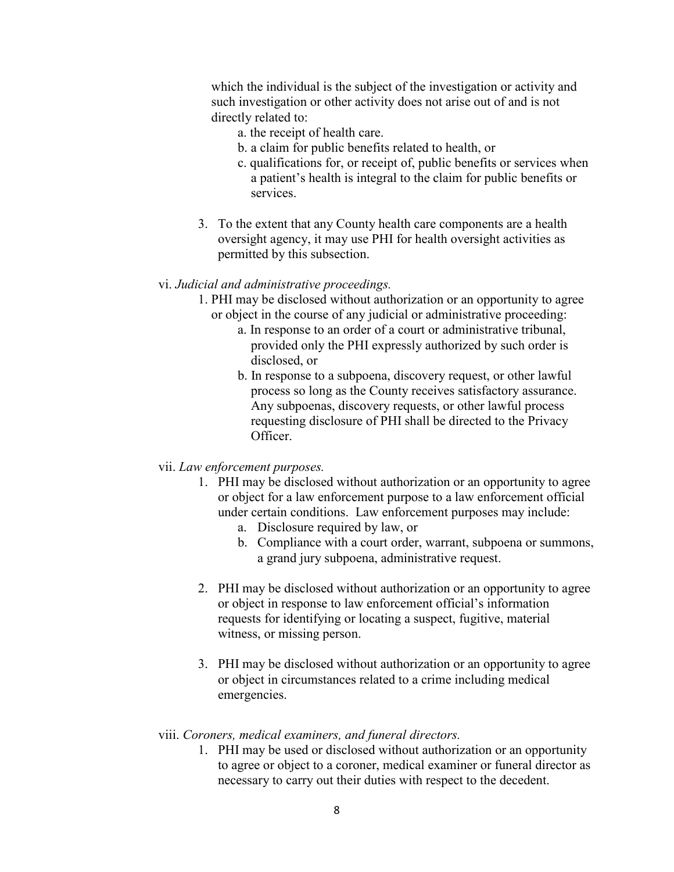which the individual is the subject of the investigation or activity and such investigation or other activity does not arise out of and is not directly related to:

- a. the receipt of health care.
- b. a claim for public benefits related to health, or
- c. qualifications for, or receipt of, public benefits or services when a patient's health is integral to the claim for public benefits or services.
- 3. To the extent that any County health care components are a health oversight agency, it may use PHI for health oversight activities as permitted by this subsection.

#### vi. *Judicial and administrative proceedings.*

- 1. PHI may be disclosed without authorization or an opportunity to agree or object in the course of any judicial or administrative proceeding:
	- a. In response to an order of a court or administrative tribunal, provided only the PHI expressly authorized by such order is disclosed, or
	- b. In response to a subpoena, discovery request, or other lawful process so long as the County receives satisfactory assurance. Any subpoenas, discovery requests, or other lawful process requesting disclosure of PHI shall be directed to the Privacy Officer.
- vii. *Law enforcement purposes.*
	- 1. PHI may be disclosed without authorization or an opportunity to agree or object for a law enforcement purpose to a law enforcement official under certain conditions. Law enforcement purposes may include:
		- a. Disclosure required by law, or
		- b. Compliance with a court order, warrant, subpoena or summons, a grand jury subpoena, administrative request.
	- 2. PHI may be disclosed without authorization or an opportunity to agree or object in response to law enforcement official's information requests for identifying or locating a suspect, fugitive, material witness, or missing person.
	- 3. PHI may be disclosed without authorization or an opportunity to agree or object in circumstances related to a crime including medical emergencies.

#### viii. *Coroners, medical examiners, and funeral directors.*

1. PHI may be used or disclosed without authorization or an opportunity to agree or object to a coroner, medical examiner or funeral director as necessary to carry out their duties with respect to the decedent.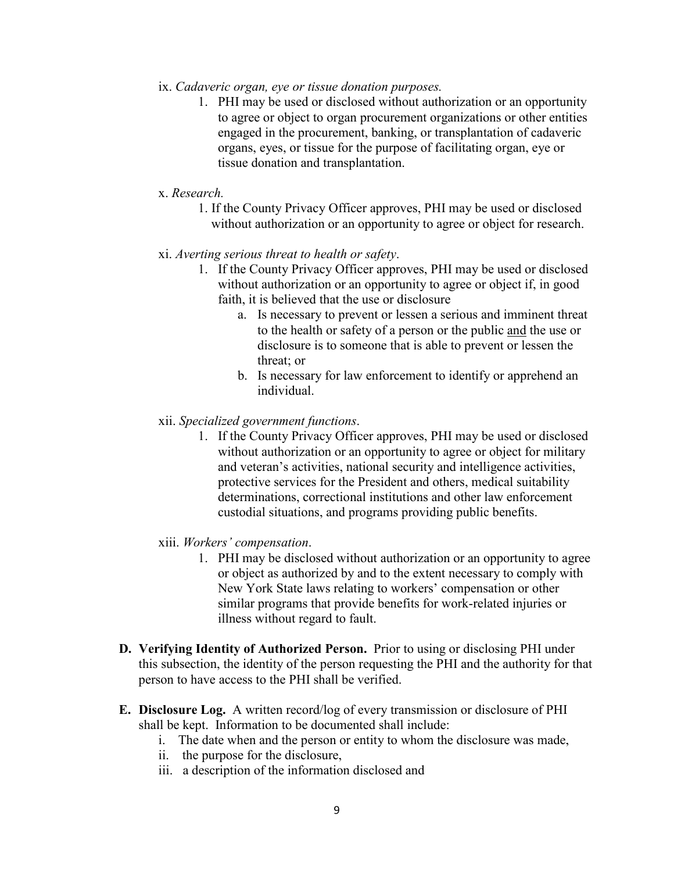- ix. *Cadaveric organ, eye or tissue donation purposes.*
	- 1. PHI may be used or disclosed without authorization or an opportunity to agree or object to organ procurement organizations or other entities engaged in the procurement, banking, or transplantation of cadaveric organs, eyes, or tissue for the purpose of facilitating organ, eye or tissue donation and transplantation.
- x. *Research.*
	- 1. If the County Privacy Officer approves, PHI may be used or disclosed without authorization or an opportunity to agree or object for research.
- xi. *Averting serious threat to health or safety*.
	- 1. If the County Privacy Officer approves, PHI may be used or disclosed without authorization or an opportunity to agree or object if, in good faith, it is believed that the use or disclosure
		- a. Is necessary to prevent or lessen a serious and imminent threat to the health or safety of a person or the public and the use or disclosure is to someone that is able to prevent or lessen the threat; or
		- b. Is necessary for law enforcement to identify or apprehend an individual.
- xii. *Specialized government functions*.
	- 1. If the County Privacy Officer approves, PHI may be used or disclosed without authorization or an opportunity to agree or object for military and veteran's activities, national security and intelligence activities, protective services for the President and others, medical suitability determinations, correctional institutions and other law enforcement custodial situations, and programs providing public benefits.
- xiii. *Workers' compensation*.
	- 1. PHI may be disclosed without authorization or an opportunity to agree or object as authorized by and to the extent necessary to comply with New York State laws relating to workers' compensation or other similar programs that provide benefits for work-related injuries or illness without regard to fault.
- **D. Verifying Identity of Authorized Person.** Prior to using or disclosing PHI under this subsection, the identity of the person requesting the PHI and the authority for that person to have access to the PHI shall be verified.
- **E. Disclosure Log.** A written record/log of every transmission or disclosure of PHI shall be kept. Information to be documented shall include:
	- i. The date when and the person or entity to whom the disclosure was made,
	- ii. the purpose for the disclosure,
	- iii. a description of the information disclosed and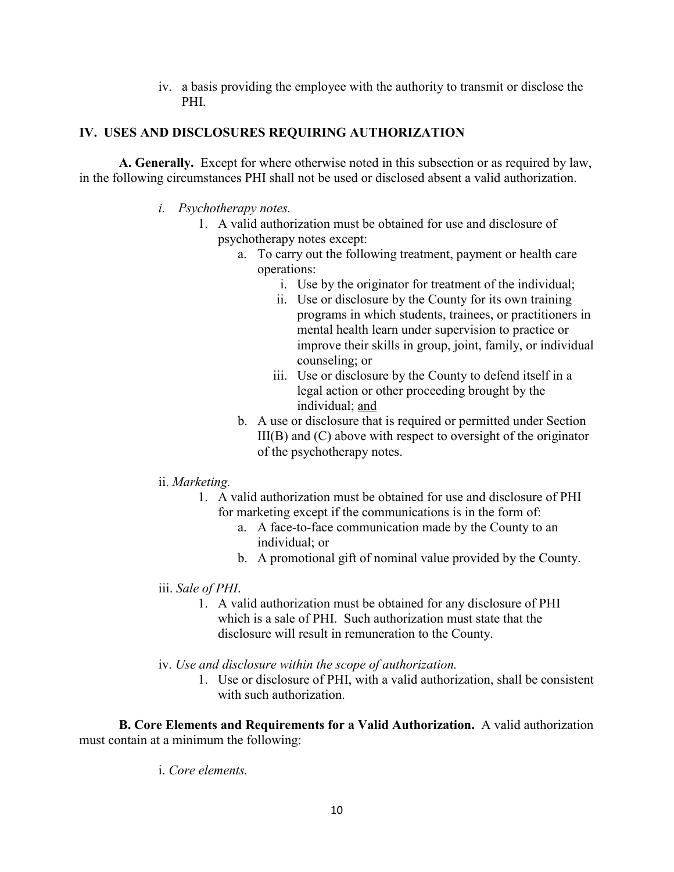iv. a basis providing the employee with the authority to transmit or disclose the PHI.

## **IV. USES AND DISCLOSURES REQUIRING AUTHORIZATION**

**A. Generally.** Except for where otherwise noted in this subsection or as required by law, in the following circumstances PHI shall not be used or disclosed absent a valid authorization.

- *i. Psychotherapy notes.* 
	- 1. A valid authorization must be obtained for use and disclosure of psychotherapy notes except:
		- a. To carry out the following treatment, payment or health care operations:
			- i. Use by the originator for treatment of the individual;
			- ii. Use or disclosure by the County for its own training programs in which students, trainees, or practitioners in mental health learn under supervision to practice or improve their skills in group, joint, family, or individual counseling; or
			- iii. Use or disclosure by the County to defend itself in a legal action or other proceeding brought by the individual; and
		- b. A use or disclosure that is required or permitted under Section  $III(B)$  and  $(C)$  above with respect to oversight of the originator of the psychotherapy notes.
- ii. *Marketing.*
	- 1. A valid authorization must be obtained for use and disclosure of PHI for marketing except if the communications is in the form of:
		- a. A face-to-face communication made by the County to an individual; or
		- b. A promotional gift of nominal value provided by the County.
- iii. *Sale of PHI*.
	- 1. A valid authorization must be obtained for any disclosure of PHI which is a sale of PHI. Such authorization must state that the disclosure will result in remuneration to the County.
- iv. *Use and disclosure within the scope of authorization.*
	- 1. Use or disclosure of PHI, with a valid authorization, shall be consistent with such authorization

**B. Core Elements and Requirements for a Valid Authorization.** A valid authorization must contain at a minimum the following:

i. *Core elements.*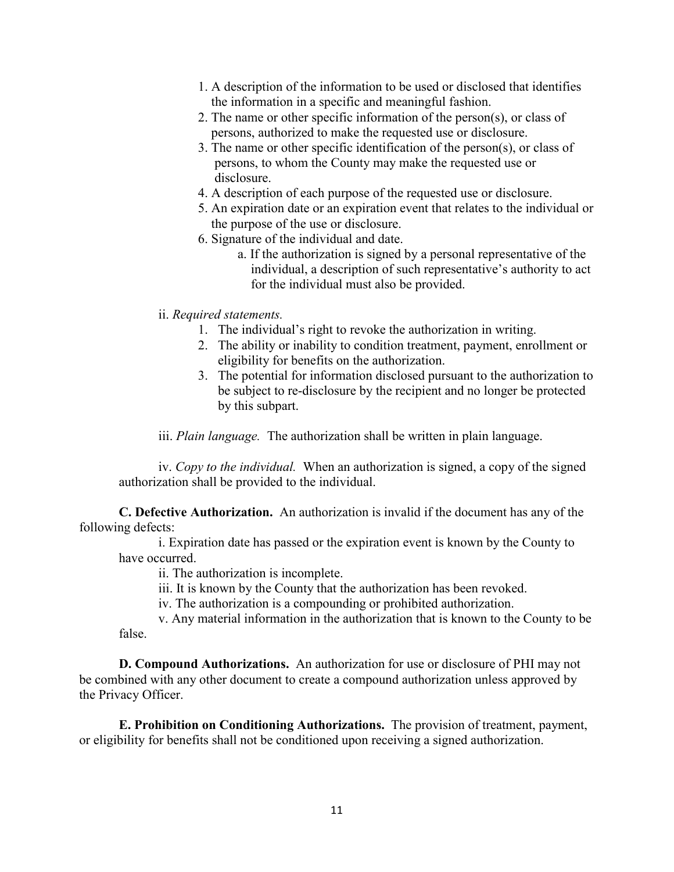- 1. A description of the information to be used or disclosed that identifies the information in a specific and meaningful fashion.
- 2. The name or other specific information of the person(s), or class of persons, authorized to make the requested use or disclosure.
- 3. The name or other specific identification of the person(s), or class of persons, to whom the County may make the requested use or disclosure.
- 4. A description of each purpose of the requested use or disclosure.
- 5. An expiration date or an expiration event that relates to the individual or the purpose of the use or disclosure.
- 6. Signature of the individual and date.
	- a. If the authorization is signed by a personal representative of the individual, a description of such representative's authority to act for the individual must also be provided.
- ii. *Required statements.*
	- 1. The individual's right to revoke the authorization in writing.
	- 2. The ability or inability to condition treatment, payment, enrollment or eligibility for benefits on the authorization.
	- 3. The potential for information disclosed pursuant to the authorization to be subject to re-disclosure by the recipient and no longer be protected by this subpart.

iii. *Plain language.* The authorization shall be written in plain language.

iv. *Copy to the individual.* When an authorization is signed, a copy of the signed authorization shall be provided to the individual.

**C. Defective Authorization.** An authorization is invalid if the document has any of the following defects:

i. Expiration date has passed or the expiration event is known by the County to have occurred.

- ii. The authorization is incomplete.
- iii. It is known by the County that the authorization has been revoked.
- iv. The authorization is a compounding or prohibited authorization.

v. Any material information in the authorization that is known to the County to be false.

**D. Compound Authorizations.** An authorization for use or disclosure of PHI may not be combined with any other document to create a compound authorization unless approved by the Privacy Officer.

**E. Prohibition on Conditioning Authorizations.** The provision of treatment, payment, or eligibility for benefits shall not be conditioned upon receiving a signed authorization.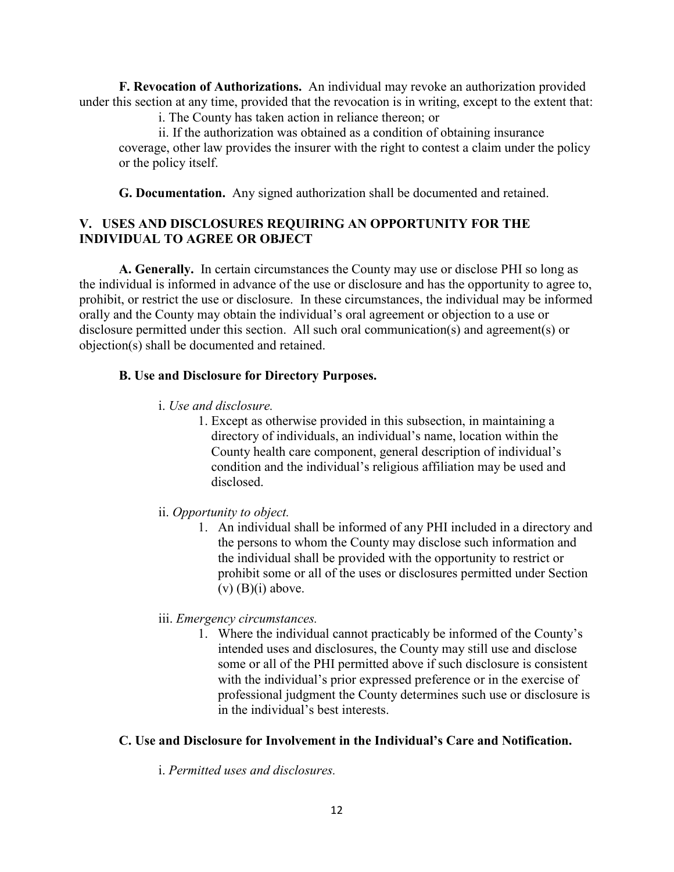**F. Revocation of Authorizations.** An individual may revoke an authorization provided under this section at any time, provided that the revocation is in writing, except to the extent that:

i. The County has taken action in reliance thereon; or

ii. If the authorization was obtained as a condition of obtaining insurance coverage, other law provides the insurer with the right to contest a claim under the policy or the policy itself.

**G. Documentation.** Any signed authorization shall be documented and retained.

## **V. USES AND DISCLOSURES REQUIRING AN OPPORTUNITY FOR THE INDIVIDUAL TO AGREE OR OBJECT**

**A. Generally.** In certain circumstances the County may use or disclose PHI so long as the individual is informed in advance of the use or disclosure and has the opportunity to agree to, prohibit, or restrict the use or disclosure. In these circumstances, the individual may be informed orally and the County may obtain the individual's oral agreement or objection to a use or disclosure permitted under this section. All such oral communication(s) and agreement(s) or objection(s) shall be documented and retained.

## **B. Use and Disclosure for Directory Purposes.**

- i. *Use and disclosure.*
	- 1. Except as otherwise provided in this subsection, in maintaining a directory of individuals, an individual's name, location within the County health care component, general description of individual's condition and the individual's religious affiliation may be used and disclosed.
- ii. *Opportunity to object.* 
	- 1. An individual shall be informed of any PHI included in a directory and the persons to whom the County may disclose such information and the individual shall be provided with the opportunity to restrict or prohibit some or all of the uses or disclosures permitted under Section  $(v)$   $(B)(i)$  above.
- iii. *Emergency circumstances.*
	- 1. Where the individual cannot practicably be informed of the County's intended uses and disclosures, the County may still use and disclose some or all of the PHI permitted above if such disclosure is consistent with the individual's prior expressed preference or in the exercise of professional judgment the County determines such use or disclosure is in the individual's best interests.

## **C. Use and Disclosure for Involvement in the Individual's Care and Notification.**

i. *Permitted uses and disclosures.*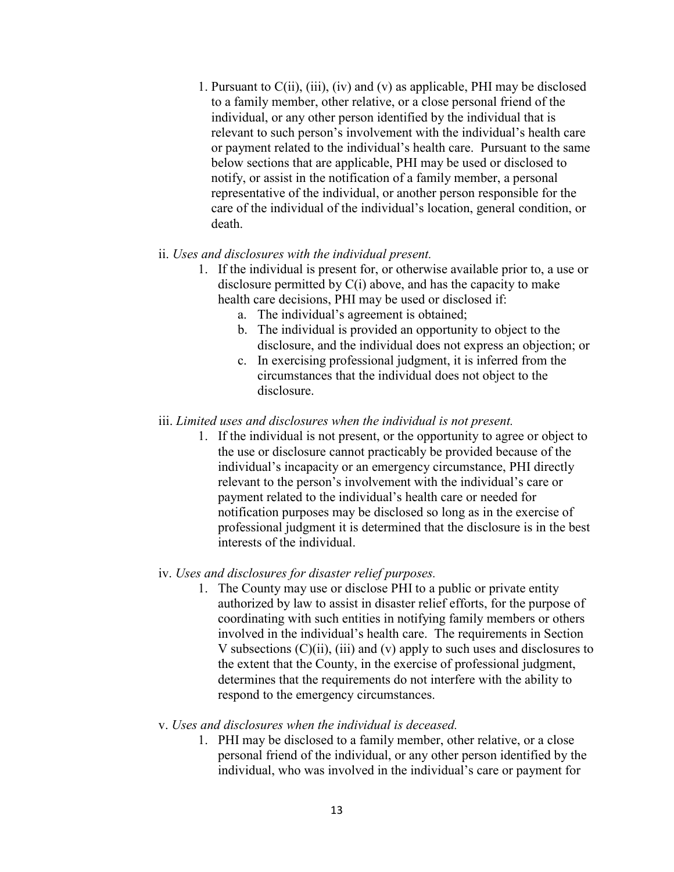1. Pursuant to  $C(i)$ ,  $(iii)$ ,  $(iv)$  and  $(v)$  as applicable, PHI may be disclosed to a family member, other relative, or a close personal friend of the individual, or any other person identified by the individual that is relevant to such person's involvement with the individual's health care or payment related to the individual's health care. Pursuant to the same below sections that are applicable, PHI may be used or disclosed to notify, or assist in the notification of a family member, a personal representative of the individual, or another person responsible for the care of the individual of the individual's location, general condition, or death.

#### ii. *Uses and disclosures with the individual present.*

- 1. If the individual is present for, or otherwise available prior to, a use or disclosure permitted by  $C(i)$  above, and has the capacity to make health care decisions, PHI may be used or disclosed if:
	- a. The individual's agreement is obtained;
	- b. The individual is provided an opportunity to object to the disclosure, and the individual does not express an objection; or
	- c. In exercising professional judgment, it is inferred from the circumstances that the individual does not object to the disclosure.

#### iii. *Limited uses and disclosures when the individual is not present.*

1. If the individual is not present, or the opportunity to agree or object to the use or disclosure cannot practicably be provided because of the individual's incapacity or an emergency circumstance, PHI directly relevant to the person's involvement with the individual's care or payment related to the individual's health care or needed for notification purposes may be disclosed so long as in the exercise of professional judgment it is determined that the disclosure is in the best interests of the individual.

#### iv. *Uses and disclosures for disaster relief purposes.*

1. The County may use or disclose PHI to a public or private entity authorized by law to assist in disaster relief efforts, for the purpose of coordinating with such entities in notifying family members or others involved in the individual's health care. The requirements in Section V subsections  $(C)(ii)$ ,  $(iii)$  and  $(v)$  apply to such uses and disclosures to the extent that the County, in the exercise of professional judgment, determines that the requirements do not interfere with the ability to respond to the emergency circumstances.

#### v. *Uses and disclosures when the individual is deceased.*

1. PHI may be disclosed to a family member, other relative, or a close personal friend of the individual, or any other person identified by the individual, who was involved in the individual's care or payment for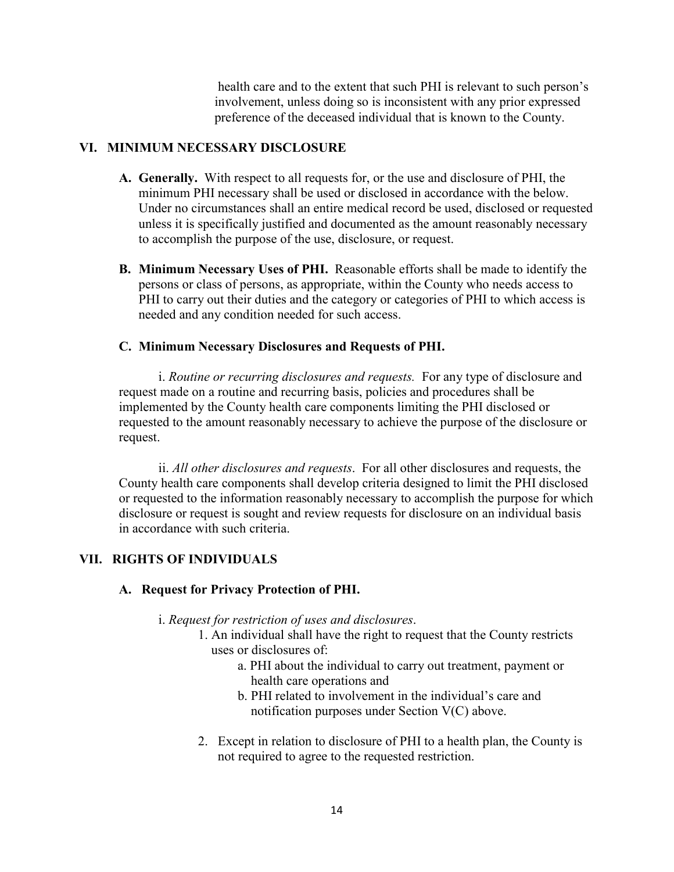health care and to the extent that such PHI is relevant to such person's involvement, unless doing so is inconsistent with any prior expressed preference of the deceased individual that is known to the County.

## **VI. MINIMUM NECESSARY DISCLOSURE**

- **A. Generally.** With respect to all requests for, or the use and disclosure of PHI, the minimum PHI necessary shall be used or disclosed in accordance with the below. Under no circumstances shall an entire medical record be used, disclosed or requested unless it is specifically justified and documented as the amount reasonably necessary to accomplish the purpose of the use, disclosure, or request.
- **B. Minimum Necessary Uses of PHI.** Reasonable efforts shall be made to identify the persons or class of persons, as appropriate, within the County who needs access to PHI to carry out their duties and the category or categories of PHI to which access is needed and any condition needed for such access.

## **C. Minimum Necessary Disclosures and Requests of PHI.**

i. *Routine or recurring disclosures and requests.* For any type of disclosure and request made on a routine and recurring basis, policies and procedures shall be implemented by the County health care components limiting the PHI disclosed or requested to the amount reasonably necessary to achieve the purpose of the disclosure or request.

ii. *All other disclosures and requests*. For all other disclosures and requests, the County health care components shall develop criteria designed to limit the PHI disclosed or requested to the information reasonably necessary to accomplish the purpose for which disclosure or request is sought and review requests for disclosure on an individual basis in accordance with such criteria.

## **VII. RIGHTS OF INDIVIDUALS**

## **A. Request for Privacy Protection of PHI.**

- i. *Request for restriction of uses and disclosures*.
	- 1. An individual shall have the right to request that the County restricts uses or disclosures of:
		- a. PHI about the individual to carry out treatment, payment or health care operations and
		- b. PHI related to involvement in the individual's care and notification purposes under Section V(C) above.
	- 2. Except in relation to disclosure of PHI to a health plan, the County is not required to agree to the requested restriction.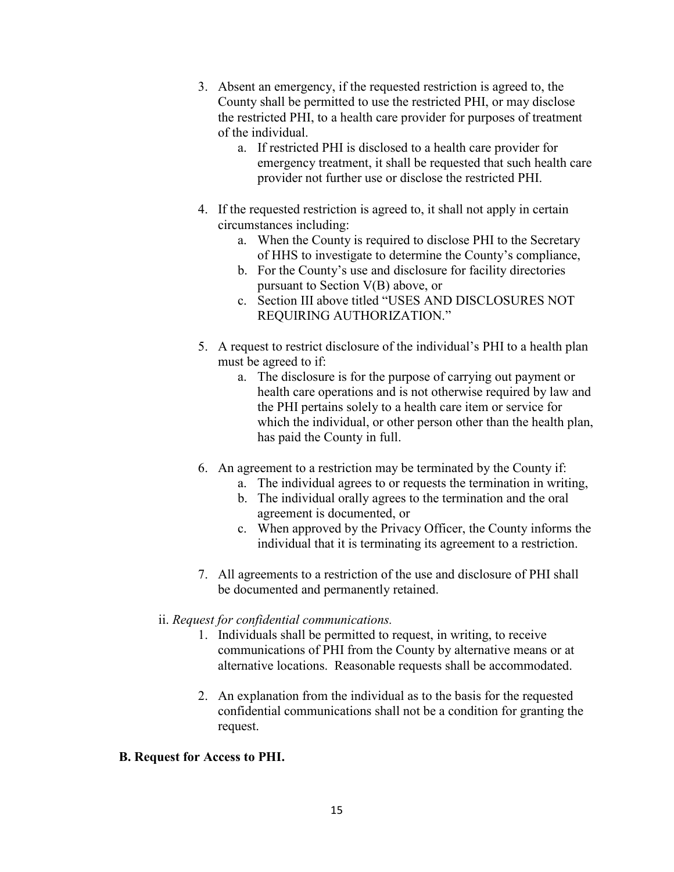- 3. Absent an emergency, if the requested restriction is agreed to, the County shall be permitted to use the restricted PHI, or may disclose the restricted PHI, to a health care provider for purposes of treatment of the individual.
	- a. If restricted PHI is disclosed to a health care provider for emergency treatment, it shall be requested that such health care provider not further use or disclose the restricted PHI.
- 4. If the requested restriction is agreed to, it shall not apply in certain circumstances including:
	- a. When the County is required to disclose PHI to the Secretary of HHS to investigate to determine the County's compliance,
	- b. For the County's use and disclosure for facility directories pursuant to Section V(B) above, or
	- c. Section III above titled "USES AND DISCLOSURES NOT REQUIRING AUTHORIZATION."
- 5. A request to restrict disclosure of the individual's PHI to a health plan must be agreed to if:
	- a. The disclosure is for the purpose of carrying out payment or health care operations and is not otherwise required by law and the PHI pertains solely to a health care item or service for which the individual, or other person other than the health plan, has paid the County in full.
- 6. An agreement to a restriction may be terminated by the County if:
	- a. The individual agrees to or requests the termination in writing,
	- b. The individual orally agrees to the termination and the oral agreement is documented, or
	- c. When approved by the Privacy Officer, the County informs the individual that it is terminating its agreement to a restriction.
- 7. All agreements to a restriction of the use and disclosure of PHI shall be documented and permanently retained.

## ii. *Request for confidential communications.*

- 1. Individuals shall be permitted to request, in writing, to receive communications of PHI from the County by alternative means or at alternative locations. Reasonable requests shall be accommodated.
- 2. An explanation from the individual as to the basis for the requested confidential communications shall not be a condition for granting the request.

## **B. Request for Access to PHI.**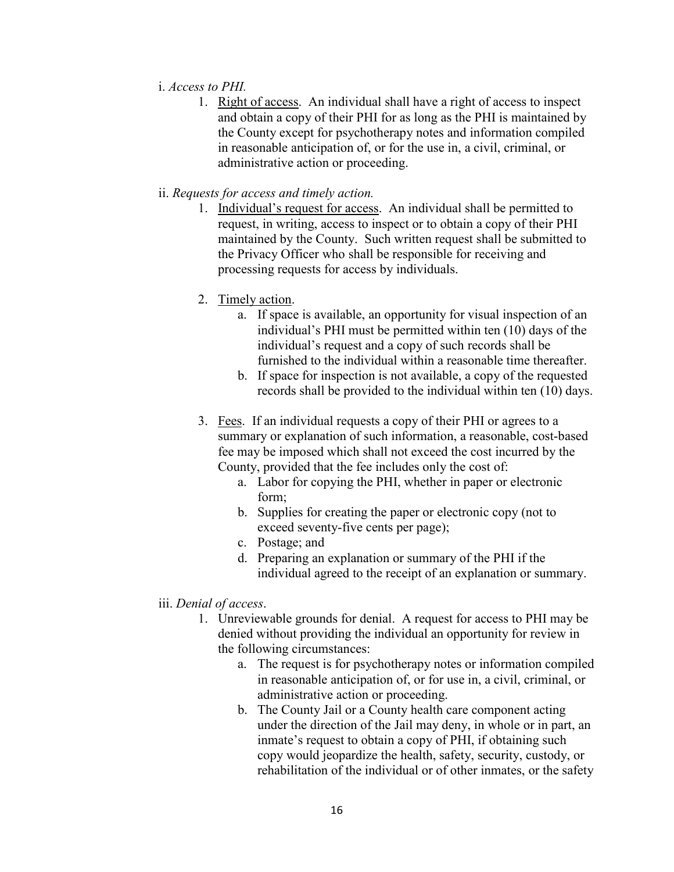#### i. *Access to PHI.*

- 1. Right of access. An individual shall have a right of access to inspect and obtain a copy of their PHI for as long as the PHI is maintained by the County except for psychotherapy notes and information compiled in reasonable anticipation of, or for the use in, a civil, criminal, or administrative action or proceeding.
- ii. *Requests for access and timely action.*
	- 1. Individual's request for access. An individual shall be permitted to request, in writing, access to inspect or to obtain a copy of their PHI maintained by the County. Such written request shall be submitted to the Privacy Officer who shall be responsible for receiving and processing requests for access by individuals.
	- 2. Timely action.
		- a. If space is available, an opportunity for visual inspection of an individual's PHI must be permitted within ten (10) days of the individual's request and a copy of such records shall be furnished to the individual within a reasonable time thereafter.
		- b. If space for inspection is not available, a copy of the requested records shall be provided to the individual within ten (10) days.
	- 3. Fees. If an individual requests a copy of their PHI or agrees to a summary or explanation of such information, a reasonable, cost-based fee may be imposed which shall not exceed the cost incurred by the County, provided that the fee includes only the cost of:
		- a. Labor for copying the PHI, whether in paper or electronic form;
		- b. Supplies for creating the paper or electronic copy (not to exceed seventy-five cents per page);
		- c. Postage; and
		- d. Preparing an explanation or summary of the PHI if the individual agreed to the receipt of an explanation or summary.
- iii. *Denial of access*.
	- 1. Unreviewable grounds for denial. A request for access to PHI may be denied without providing the individual an opportunity for review in the following circumstances:
		- a. The request is for psychotherapy notes or information compiled in reasonable anticipation of, or for use in, a civil, criminal, or administrative action or proceeding.
		- b. The County Jail or a County health care component acting under the direction of the Jail may deny, in whole or in part, an inmate's request to obtain a copy of PHI, if obtaining such copy would jeopardize the health, safety, security, custody, or rehabilitation of the individual or of other inmates, or the safety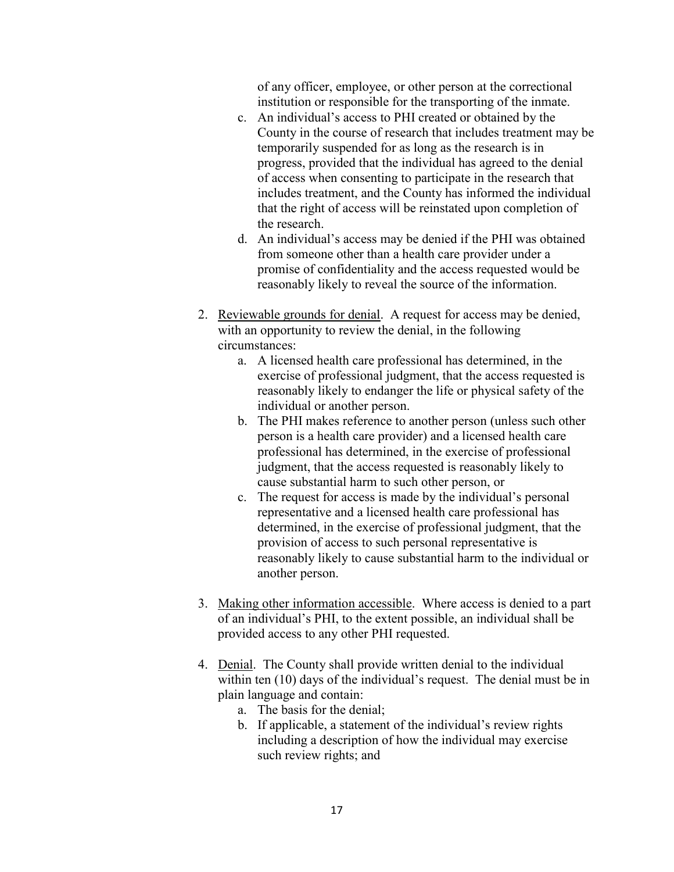of any officer, employee, or other person at the correctional institution or responsible for the transporting of the inmate.

- c. An individual's access to PHI created or obtained by the County in the course of research that includes treatment may be temporarily suspended for as long as the research is in progress, provided that the individual has agreed to the denial of access when consenting to participate in the research that includes treatment, and the County has informed the individual that the right of access will be reinstated upon completion of the research.
- d. An individual's access may be denied if the PHI was obtained from someone other than a health care provider under a promise of confidentiality and the access requested would be reasonably likely to reveal the source of the information.
- 2. Reviewable grounds for denial. A request for access may be denied, with an opportunity to review the denial, in the following circumstances:
	- a. A licensed health care professional has determined, in the exercise of professional judgment, that the access requested is reasonably likely to endanger the life or physical safety of the individual or another person.
	- b. The PHI makes reference to another person (unless such other person is a health care provider) and a licensed health care professional has determined, in the exercise of professional judgment, that the access requested is reasonably likely to cause substantial harm to such other person, or
	- c. The request for access is made by the individual's personal representative and a licensed health care professional has determined, in the exercise of professional judgment, that the provision of access to such personal representative is reasonably likely to cause substantial harm to the individual or another person.
- 3. Making other information accessible. Where access is denied to a part of an individual's PHI, to the extent possible, an individual shall be provided access to any other PHI requested.
- 4. Denial. The County shall provide written denial to the individual within ten (10) days of the individual's request. The denial must be in plain language and contain:
	- a. The basis for the denial;
	- b. If applicable, a statement of the individual's review rights including a description of how the individual may exercise such review rights; and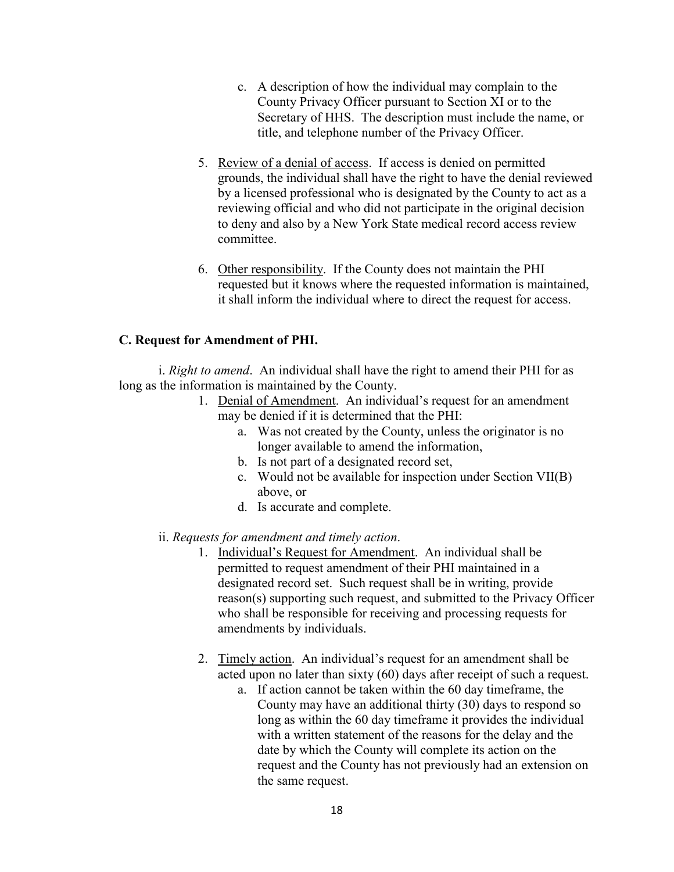- c. A description of how the individual may complain to the County Privacy Officer pursuant to Section XI or to the Secretary of HHS. The description must include the name, or title, and telephone number of the Privacy Officer.
- 5. Review of a denial of access. If access is denied on permitted grounds, the individual shall have the right to have the denial reviewed by a licensed professional who is designated by the County to act as a reviewing official and who did not participate in the original decision to deny and also by a New York State medical record access review committee.
- 6. Other responsibility. If the County does not maintain the PHI requested but it knows where the requested information is maintained, it shall inform the individual where to direct the request for access.

## **C. Request for Amendment of PHI.**

i. *Right to amend*. An individual shall have the right to amend their PHI for as long as the information is maintained by the County.

- 1. Denial of Amendment. An individual's request for an amendment may be denied if it is determined that the PHI:
	- a. Was not created by the County, unless the originator is no longer available to amend the information,
	- b. Is not part of a designated record set,
	- c. Would not be available for inspection under Section VII(B) above, or
	- d. Is accurate and complete.
- ii. *Requests for amendment and timely action*.
	- 1. Individual's Request for Amendment. An individual shall be permitted to request amendment of their PHI maintained in a designated record set. Such request shall be in writing, provide reason(s) supporting such request, and submitted to the Privacy Officer who shall be responsible for receiving and processing requests for amendments by individuals.
	- 2. Timely action. An individual's request for an amendment shall be acted upon no later than sixty (60) days after receipt of such a request.
		- a. If action cannot be taken within the 60 day timeframe, the County may have an additional thirty (30) days to respond so long as within the 60 day timeframe it provides the individual with a written statement of the reasons for the delay and the date by which the County will complete its action on the request and the County has not previously had an extension on the same request.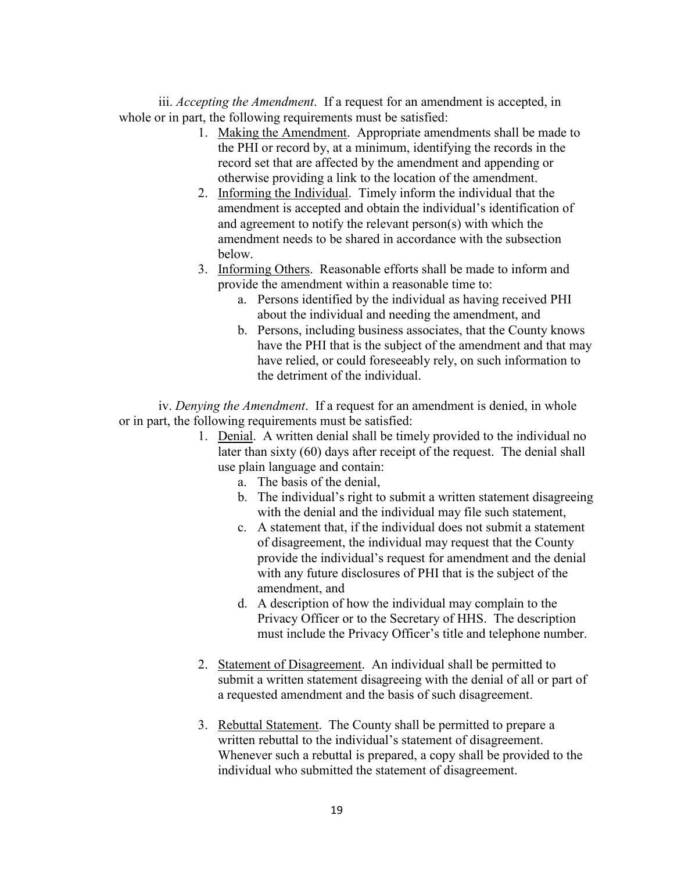iii. *Accepting the Amendment*. If a request for an amendment is accepted, in whole or in part, the following requirements must be satisfied:

- 1. Making the Amendment. Appropriate amendments shall be made to the PHI or record by, at a minimum, identifying the records in the record set that are affected by the amendment and appending or otherwise providing a link to the location of the amendment.
- 2. Informing the Individual. Timely inform the individual that the amendment is accepted and obtain the individual's identification of and agreement to notify the relevant person(s) with which the amendment needs to be shared in accordance with the subsection below.
- 3. Informing Others. Reasonable efforts shall be made to inform and provide the amendment within a reasonable time to:
	- a. Persons identified by the individual as having received PHI about the individual and needing the amendment, and
	- b. Persons, including business associates, that the County knows have the PHI that is the subject of the amendment and that may have relied, or could foreseeably rely, on such information to the detriment of the individual.

iv. *Denying the Amendment*. If a request for an amendment is denied, in whole or in part, the following requirements must be satisfied:

- 1. Denial. A written denial shall be timely provided to the individual no later than sixty (60) days after receipt of the request. The denial shall use plain language and contain:
	- a. The basis of the denial,
	- b. The individual's right to submit a written statement disagreeing with the denial and the individual may file such statement,
	- c. A statement that, if the individual does not submit a statement of disagreement, the individual may request that the County provide the individual's request for amendment and the denial with any future disclosures of PHI that is the subject of the amendment, and
	- d. A description of how the individual may complain to the Privacy Officer or to the Secretary of HHS. The description must include the Privacy Officer's title and telephone number.
- 2. Statement of Disagreement. An individual shall be permitted to submit a written statement disagreeing with the denial of all or part of a requested amendment and the basis of such disagreement.
- 3. Rebuttal Statement. The County shall be permitted to prepare a written rebuttal to the individual's statement of disagreement. Whenever such a rebuttal is prepared, a copy shall be provided to the individual who submitted the statement of disagreement.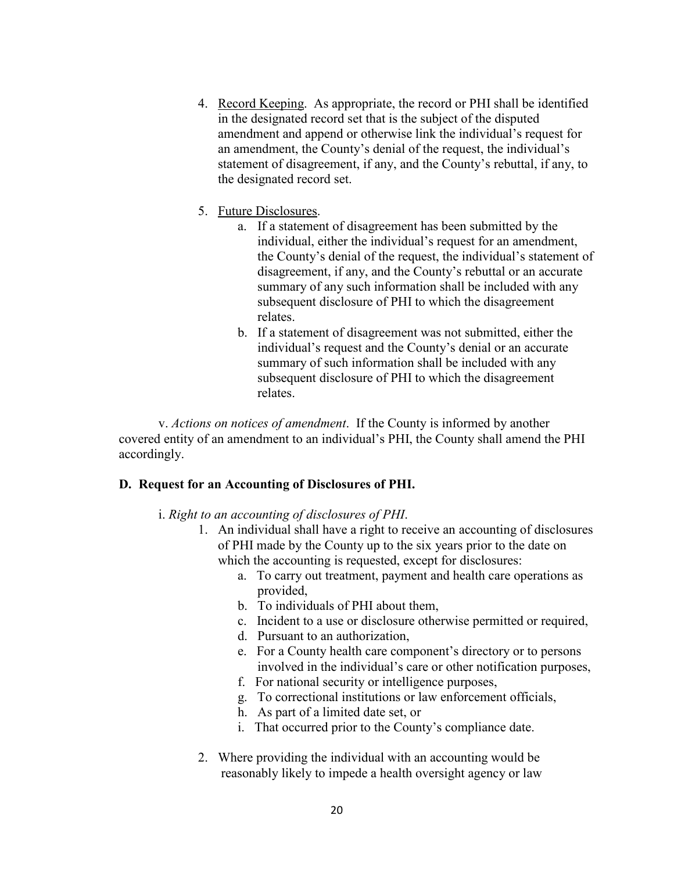- 4. Record Keeping. As appropriate, the record or PHI shall be identified in the designated record set that is the subject of the disputed amendment and append or otherwise link the individual's request for an amendment, the County's denial of the request, the individual's statement of disagreement, if any, and the County's rebuttal, if any, to the designated record set.
- 5. Future Disclosures.
	- a. If a statement of disagreement has been submitted by the individual, either the individual's request for an amendment, the County's denial of the request, the individual's statement of disagreement, if any, and the County's rebuttal or an accurate summary of any such information shall be included with any subsequent disclosure of PHI to which the disagreement relates.
	- b. If a statement of disagreement was not submitted, either the individual's request and the County's denial or an accurate summary of such information shall be included with any subsequent disclosure of PHI to which the disagreement relates.

v. *Actions on notices of amendment*. If the County is informed by another covered entity of an amendment to an individual's PHI, the County shall amend the PHI accordingly.

#### **D. Request for an Accounting of Disclosures of PHI.**

- i. *Right to an accounting of disclosures of PHI*.
	- 1. An individual shall have a right to receive an accounting of disclosures of PHI made by the County up to the six years prior to the date on which the accounting is requested, except for disclosures:
		- a. To carry out treatment, payment and health care operations as provided,
		- b. To individuals of PHI about them,
		- c. Incident to a use or disclosure otherwise permitted or required,
		- d. Pursuant to an authorization,
		- e. For a County health care component's directory or to persons involved in the individual's care or other notification purposes,
		- f. For national security or intelligence purposes,
		- g. To correctional institutions or law enforcement officials,
		- h. As part of a limited date set, or
		- i. That occurred prior to the County's compliance date.
	- 2. Where providing the individual with an accounting would be reasonably likely to impede a health oversight agency or law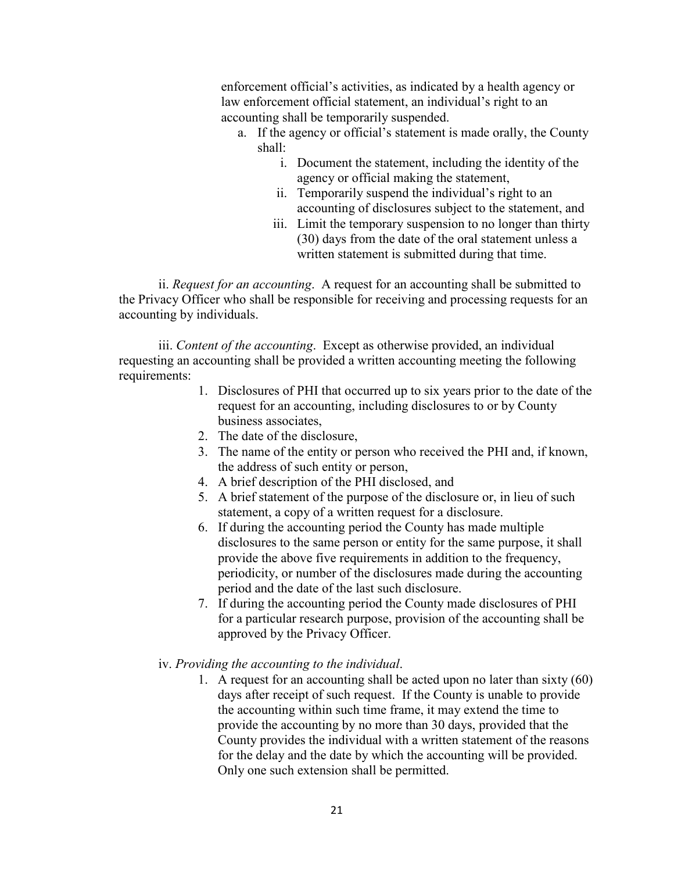enforcement official's activities, as indicated by a health agency or law enforcement official statement, an individual's right to an accounting shall be temporarily suspended.

- a. If the agency or official's statement is made orally, the County shall:
	- i. Document the statement, including the identity of the agency or official making the statement,
	- ii. Temporarily suspend the individual's right to an accounting of disclosures subject to the statement, and
	- iii. Limit the temporary suspension to no longer than thirty (30) days from the date of the oral statement unless a written statement is submitted during that time.

ii. *Request for an accounting*. A request for an accounting shall be submitted to the Privacy Officer who shall be responsible for receiving and processing requests for an accounting by individuals.

iii. *Content of the accounting*. Except as otherwise provided, an individual requesting an accounting shall be provided a written accounting meeting the following requirements:

- 1. Disclosures of PHI that occurred up to six years prior to the date of the request for an accounting, including disclosures to or by County business associates,
- 2. The date of the disclosure,
- 3. The name of the entity or person who received the PHI and, if known, the address of such entity or person,
- 4. A brief description of the PHI disclosed, and
- 5. A brief statement of the purpose of the disclosure or, in lieu of such statement, a copy of a written request for a disclosure.
- 6. If during the accounting period the County has made multiple disclosures to the same person or entity for the same purpose, it shall provide the above five requirements in addition to the frequency, periodicity, or number of the disclosures made during the accounting period and the date of the last such disclosure.
- 7. If during the accounting period the County made disclosures of PHI for a particular research purpose, provision of the accounting shall be approved by the Privacy Officer.
- iv. *Providing the accounting to the individual*.
	- 1. A request for an accounting shall be acted upon no later than sixty (60) days after receipt of such request. If the County is unable to provide the accounting within such time frame, it may extend the time to provide the accounting by no more than 30 days, provided that the County provides the individual with a written statement of the reasons for the delay and the date by which the accounting will be provided. Only one such extension shall be permitted.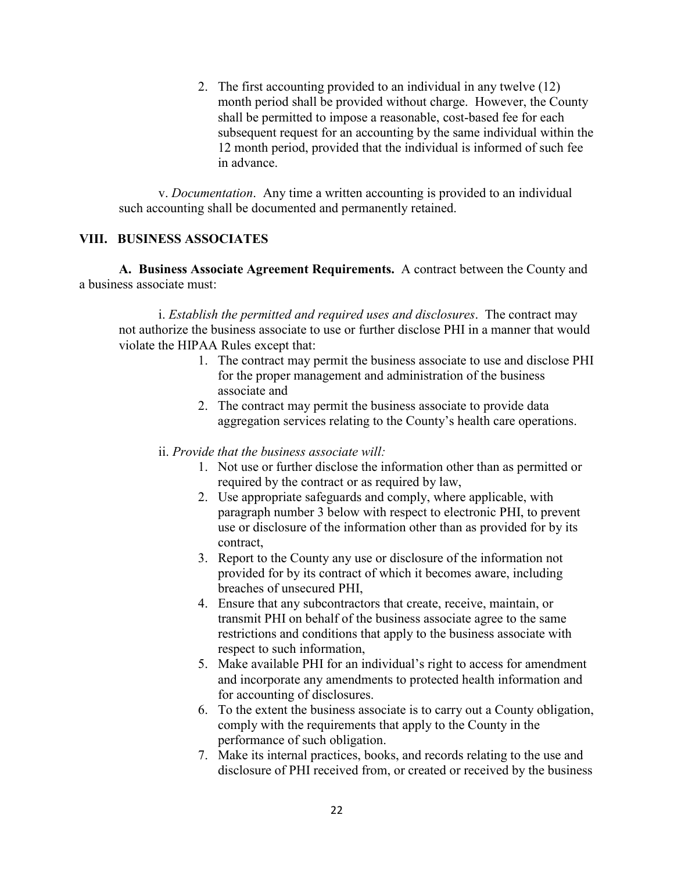2. The first accounting provided to an individual in any twelve (12) month period shall be provided without charge. However, the County shall be permitted to impose a reasonable, cost-based fee for each subsequent request for an accounting by the same individual within the 12 month period, provided that the individual is informed of such fee in advance.

v. *Documentation*. Any time a written accounting is provided to an individual such accounting shall be documented and permanently retained.

## **VIII. BUSINESS ASSOCIATES**

**A. Business Associate Agreement Requirements.** A contract between the County and a business associate must:

i. *Establish the permitted and required uses and disclosures*. The contract may not authorize the business associate to use or further disclose PHI in a manner that would violate the HIPAA Rules except that:

- 1. The contract may permit the business associate to use and disclose PHI for the proper management and administration of the business associate and
- 2. The contract may permit the business associate to provide data aggregation services relating to the County's health care operations.
- ii. *Provide that the business associate will:*
	- 1. Not use or further disclose the information other than as permitted or required by the contract or as required by law,
	- 2. Use appropriate safeguards and comply, where applicable, with paragraph number 3 below with respect to electronic PHI, to prevent use or disclosure of the information other than as provided for by its contract,
	- 3. Report to the County any use or disclosure of the information not provided for by its contract of which it becomes aware, including breaches of unsecured PHI,
	- 4. Ensure that any subcontractors that create, receive, maintain, or transmit PHI on behalf of the business associate agree to the same restrictions and conditions that apply to the business associate with respect to such information,
	- 5. Make available PHI for an individual's right to access for amendment and incorporate any amendments to protected health information and for accounting of disclosures.
	- 6. To the extent the business associate is to carry out a County obligation, comply with the requirements that apply to the County in the performance of such obligation.
	- 7. Make its internal practices, books, and records relating to the use and disclosure of PHI received from, or created or received by the business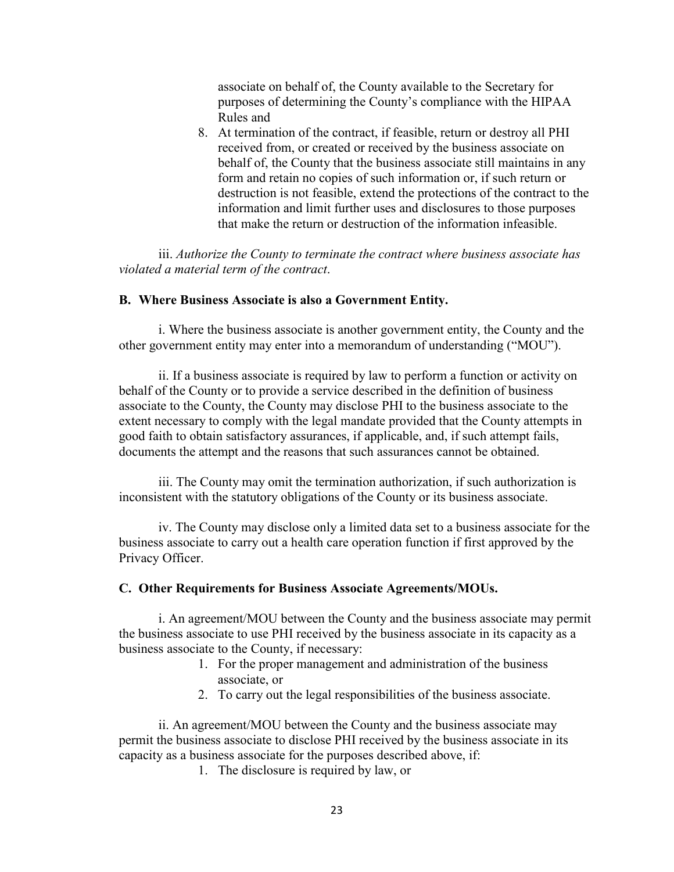associate on behalf of, the County available to the Secretary for purposes of determining the County's compliance with the HIPAA Rules and

8. At termination of the contract, if feasible, return or destroy all PHI received from, or created or received by the business associate on behalf of, the County that the business associate still maintains in any form and retain no copies of such information or, if such return or destruction is not feasible, extend the protections of the contract to the information and limit further uses and disclosures to those purposes that make the return or destruction of the information infeasible.

iii. *Authorize the County to terminate the contract where business associate has violated a material term of the contract*.

#### **B. Where Business Associate is also a Government Entity.**

i. Where the business associate is another government entity, the County and the other government entity may enter into a memorandum of understanding ("MOU").

ii. If a business associate is required by law to perform a function or activity on behalf of the County or to provide a service described in the definition of business associate to the County, the County may disclose PHI to the business associate to the extent necessary to comply with the legal mandate provided that the County attempts in good faith to obtain satisfactory assurances, if applicable, and, if such attempt fails, documents the attempt and the reasons that such assurances cannot be obtained.

iii. The County may omit the termination authorization, if such authorization is inconsistent with the statutory obligations of the County or its business associate.

iv. The County may disclose only a limited data set to a business associate for the business associate to carry out a health care operation function if first approved by the Privacy Officer.

#### **C. Other Requirements for Business Associate Agreements/MOUs.**

i. An agreement/MOU between the County and the business associate may permit the business associate to use PHI received by the business associate in its capacity as a business associate to the County, if necessary:

- 1. For the proper management and administration of the business associate, or
- 2. To carry out the legal responsibilities of the business associate.

ii. An agreement/MOU between the County and the business associate may permit the business associate to disclose PHI received by the business associate in its capacity as a business associate for the purposes described above, if:

1. The disclosure is required by law, or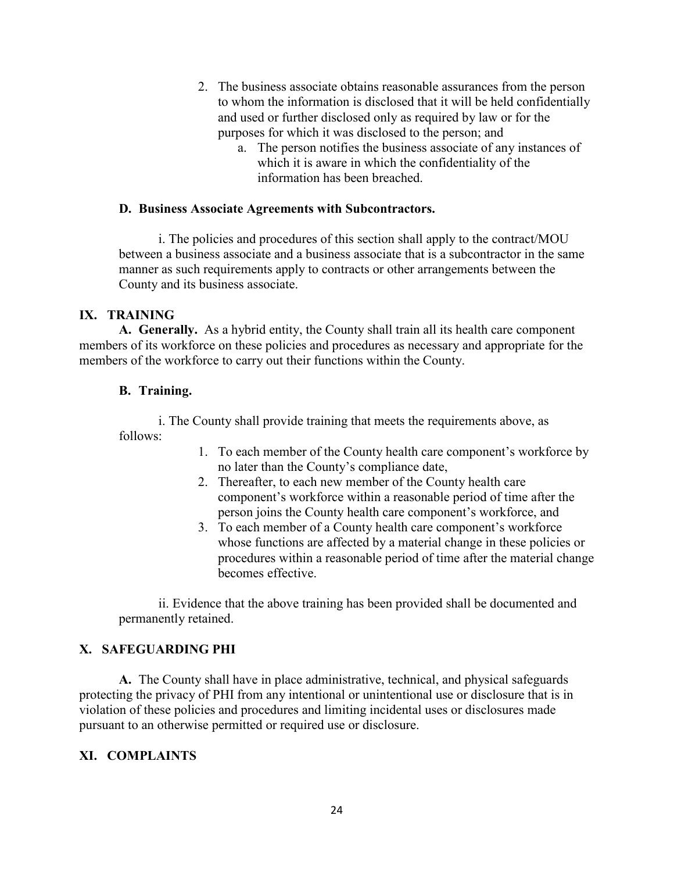- 2. The business associate obtains reasonable assurances from the person to whom the information is disclosed that it will be held confidentially and used or further disclosed only as required by law or for the purposes for which it was disclosed to the person; and
	- a. The person notifies the business associate of any instances of which it is aware in which the confidentiality of the information has been breached.

#### **D. Business Associate Agreements with Subcontractors.**

i. The policies and procedures of this section shall apply to the contract/MOU between a business associate and a business associate that is a subcontractor in the same manner as such requirements apply to contracts or other arrangements between the County and its business associate.

#### **IX. TRAINING**

**A. Generally.** As a hybrid entity, the County shall train all its health care component members of its workforce on these policies and procedures as necessary and appropriate for the members of the workforce to carry out their functions within the County.

#### **B. Training.**

i. The County shall provide training that meets the requirements above, as follows:

- 1. To each member of the County health care component's workforce by no later than the County's compliance date,
- 2. Thereafter, to each new member of the County health care component's workforce within a reasonable period of time after the person joins the County health care component's workforce, and
- 3. To each member of a County health care component's workforce whose functions are affected by a material change in these policies or procedures within a reasonable period of time after the material change becomes effective.

ii. Evidence that the above training has been provided shall be documented and permanently retained.

## **X. SAFEGUARDING PHI**

**A.** The County shall have in place administrative, technical, and physical safeguards protecting the privacy of PHI from any intentional or unintentional use or disclosure that is in violation of these policies and procedures and limiting incidental uses or disclosures made pursuant to an otherwise permitted or required use or disclosure.

## **XI. COMPLAINTS**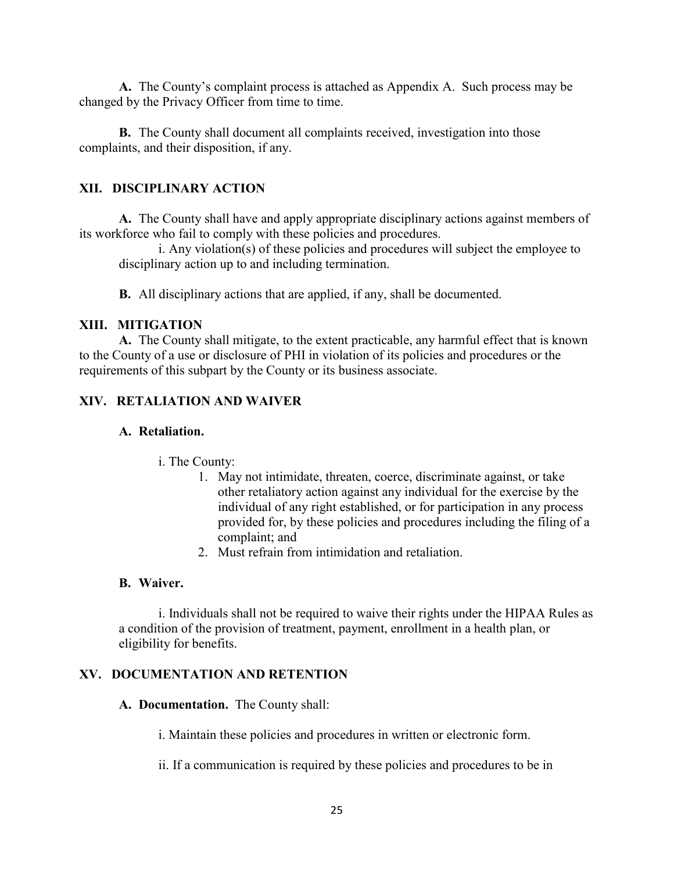**A.** The County's complaint process is attached as Appendix A. Such process may be changed by the Privacy Officer from time to time.

**B.** The County shall document all complaints received, investigation into those complaints, and their disposition, if any.

#### **XII. DISCIPLINARY ACTION**

**A.** The County shall have and apply appropriate disciplinary actions against members of its workforce who fail to comply with these policies and procedures.

i. Any violation(s) of these policies and procedures will subject the employee to disciplinary action up to and including termination.

**B.** All disciplinary actions that are applied, if any, shall be documented.

#### **XIII. MITIGATION**

**A.** The County shall mitigate, to the extent practicable, any harmful effect that is known to the County of a use or disclosure of PHI in violation of its policies and procedures or the requirements of this subpart by the County or its business associate.

## **XIV. RETALIATION AND WAIVER**

#### **A. Retaliation.**

- i. The County:
	- 1. May not intimidate, threaten, coerce, discriminate against, or take other retaliatory action against any individual for the exercise by the individual of any right established, or for participation in any process provided for, by these policies and procedures including the filing of a complaint; and
	- 2. Must refrain from intimidation and retaliation.

#### **B. Waiver.**

i. Individuals shall not be required to waive their rights under the HIPAA Rules as a condition of the provision of treatment, payment, enrollment in a health plan, or eligibility for benefits.

## **XV. DOCUMENTATION AND RETENTION**

#### **A. Documentation.** The County shall:

i. Maintain these policies and procedures in written or electronic form.

ii. If a communication is required by these policies and procedures to be in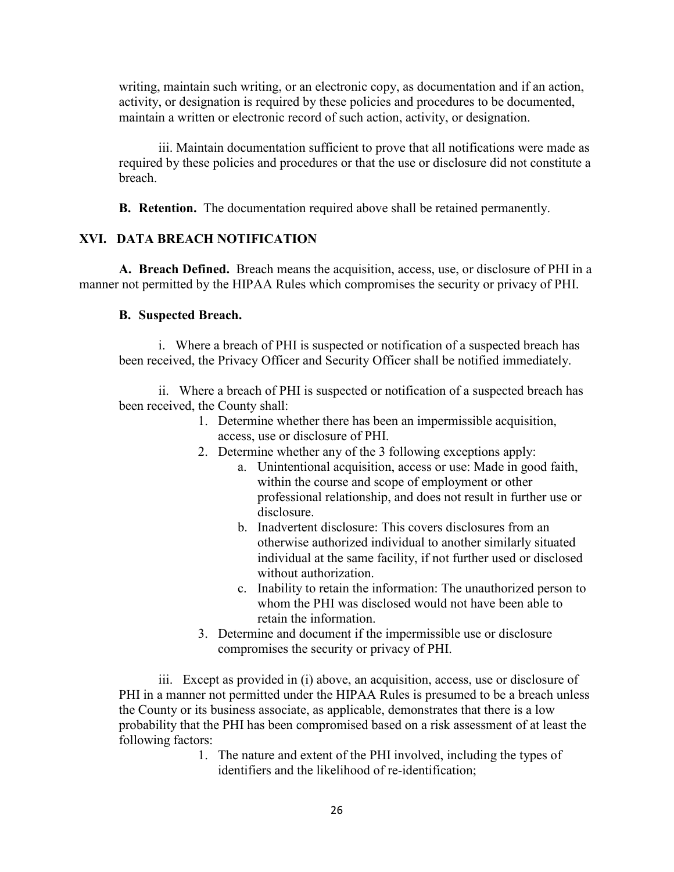writing, maintain such writing, or an electronic copy, as documentation and if an action, activity, or designation is required by these policies and procedures to be documented, maintain a written or electronic record of such action, activity, or designation.

iii. Maintain documentation sufficient to prove that all notifications were made as required by these policies and procedures or that the use or disclosure did not constitute a breach.

**B. Retention.** The documentation required above shall be retained permanently.

## **XVI. DATA BREACH NOTIFICATION**

**A. Breach Defined.** Breach means the acquisition, access, use, or disclosure of PHI in a manner not permitted by the HIPAA Rules which compromises the security or privacy of PHI.

#### **B. Suspected Breach.**

i. Where a breach of PHI is suspected or notification of a suspected breach has been received, the Privacy Officer and Security Officer shall be notified immediately.

ii. Where a breach of PHI is suspected or notification of a suspected breach has been received, the County shall:

- 1. Determine whether there has been an impermissible acquisition, access, use or disclosure of PHI.
- 2. Determine whether any of the 3 following exceptions apply:
	- a. Unintentional acquisition, access or use: Made in good faith, within the course and scope of employment or other professional relationship, and does not result in further use or disclosure.
	- b. Inadvertent disclosure: This covers disclosures from an otherwise authorized individual to another similarly situated individual at the same facility, if not further used or disclosed without authorization.
	- c. Inability to retain the information: The unauthorized person to whom the PHI was disclosed would not have been able to retain the information.
- 3. Determine and document if the impermissible use or disclosure compromises the security or privacy of PHI.

iii. Except as provided in (i) above, an acquisition, access, use or disclosure of PHI in a manner not permitted under the HIPAA Rules is presumed to be a breach unless the County or its business associate, as applicable, demonstrates that there is a low probability that the PHI has been compromised based on a risk assessment of at least the following factors:

> 1. The nature and extent of the PHI involved, including the types of identifiers and the likelihood of re-identification;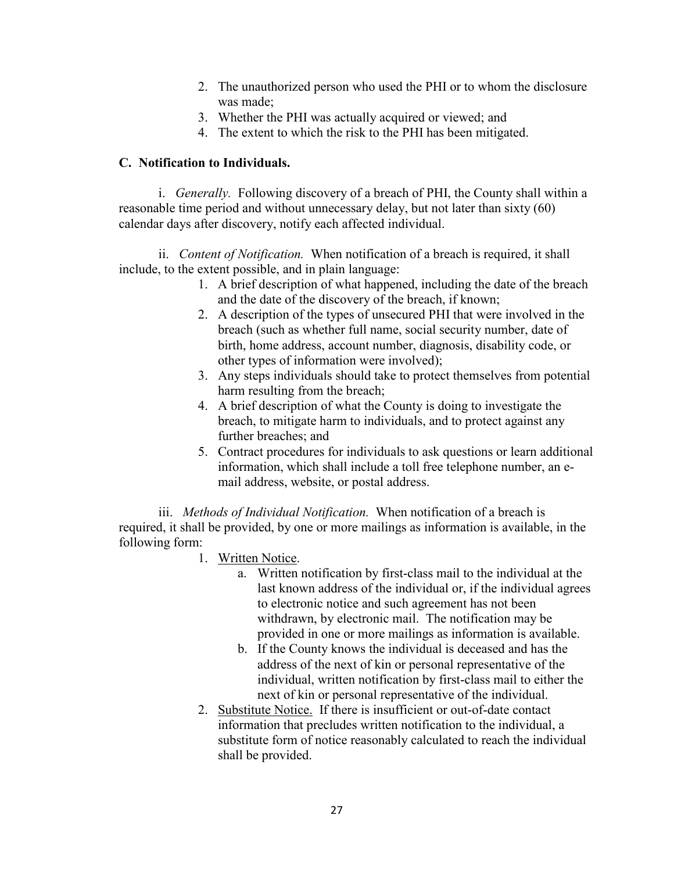- 2. The unauthorized person who used the PHI or to whom the disclosure was made;
- 3. Whether the PHI was actually acquired or viewed; and
- 4. The extent to which the risk to the PHI has been mitigated.

## **C. Notification to Individuals.**

i. *Generally.* Following discovery of a breach of PHI, the County shall within a reasonable time period and without unnecessary delay, but not later than sixty (60) calendar days after discovery, notify each affected individual.

ii. *Content of Notification.* When notification of a breach is required, it shall include, to the extent possible, and in plain language:

- 1. A brief description of what happened, including the date of the breach and the date of the discovery of the breach, if known;
- 2. A description of the types of unsecured PHI that were involved in the breach (such as whether full name, social security number, date of birth, home address, account number, diagnosis, disability code, or other types of information were involved);
- 3. Any steps individuals should take to protect themselves from potential harm resulting from the breach;
- 4. A brief description of what the County is doing to investigate the breach, to mitigate harm to individuals, and to protect against any further breaches; and
- 5. Contract procedures for individuals to ask questions or learn additional information, which shall include a toll free telephone number, an email address, website, or postal address.

iii. *Methods of Individual Notification.* When notification of a breach is required, it shall be provided, by one or more mailings as information is available, in the following form:

- 1. Written Notice.
	- a. Written notification by first-class mail to the individual at the last known address of the individual or, if the individual agrees to electronic notice and such agreement has not been withdrawn, by electronic mail. The notification may be provided in one or more mailings as information is available.
	- b. If the County knows the individual is deceased and has the address of the next of kin or personal representative of the individual, written notification by first-class mail to either the next of kin or personal representative of the individual.
- 2. Substitute Notice. If there is insufficient or out-of-date contact information that precludes written notification to the individual, a substitute form of notice reasonably calculated to reach the individual shall be provided.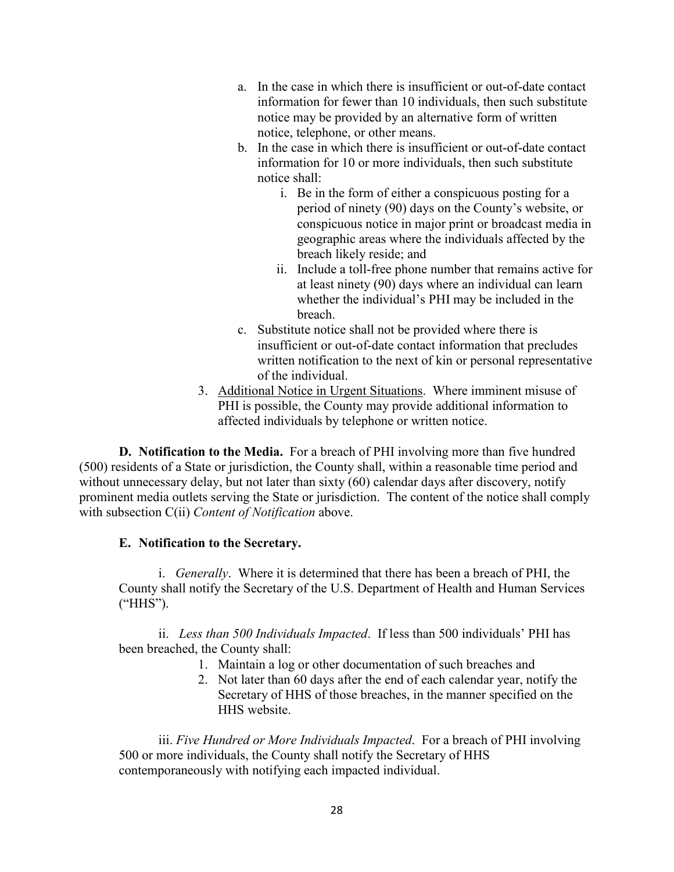- a. In the case in which there is insufficient or out-of-date contact information for fewer than 10 individuals, then such substitute notice may be provided by an alternative form of written notice, telephone, or other means.
- b. In the case in which there is insufficient or out-of-date contact information for 10 or more individuals, then such substitute notice shall:
	- i. Be in the form of either a conspicuous posting for a period of ninety (90) days on the County's website, or conspicuous notice in major print or broadcast media in geographic areas where the individuals affected by the breach likely reside; and
	- ii. Include a toll-free phone number that remains active for at least ninety (90) days where an individual can learn whether the individual's PHI may be included in the breach.
- c. Substitute notice shall not be provided where there is insufficient or out-of-date contact information that precludes written notification to the next of kin or personal representative of the individual.
- 3. Additional Notice in Urgent Situations. Where imminent misuse of PHI is possible, the County may provide additional information to affected individuals by telephone or written notice.

**D. Notification to the Media.** For a breach of PHI involving more than five hundred (500) residents of a State or jurisdiction, the County shall, within a reasonable time period and without unnecessary delay, but not later than sixty (60) calendar days after discovery, notify prominent media outlets serving the State or jurisdiction. The content of the notice shall comply with subsection C(ii) *Content of Notification* above.

## **E. Notification to the Secretary.**

i. *Generally*. Where it is determined that there has been a breach of PHI, the County shall notify the Secretary of the U.S. Department of Health and Human Services ("HHS").

ii. *Less than 500 Individuals Impacted*. If less than 500 individuals' PHI has been breached, the County shall:

- 1. Maintain a log or other documentation of such breaches and
- 2. Not later than 60 days after the end of each calendar year, notify the Secretary of HHS of those breaches, in the manner specified on the HHS website.

iii. *Five Hundred or More Individuals Impacted*. For a breach of PHI involving 500 or more individuals, the County shall notify the Secretary of HHS contemporaneously with notifying each impacted individual.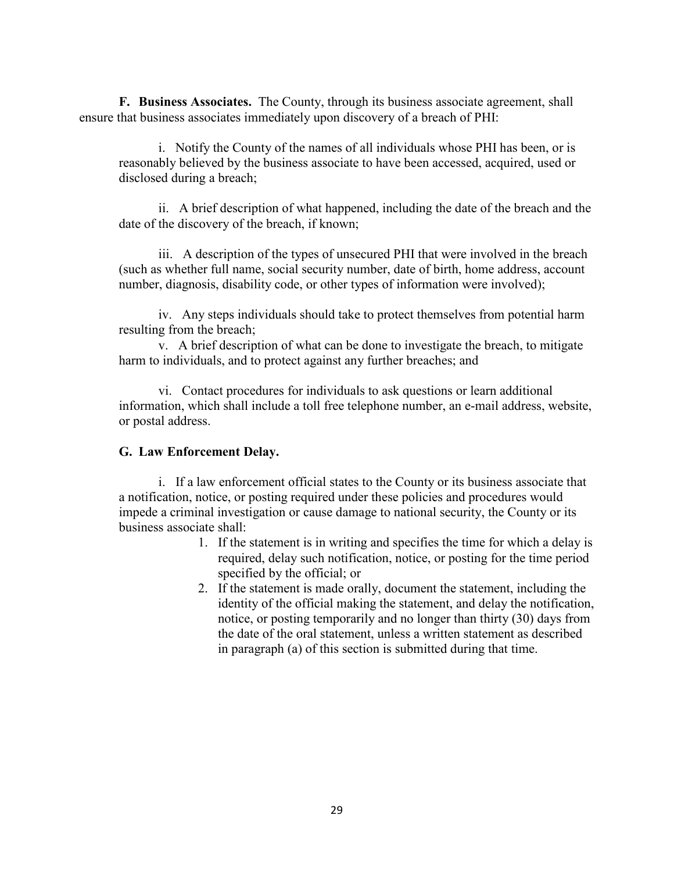**F. Business Associates.** The County, through its business associate agreement, shall ensure that business associates immediately upon discovery of a breach of PHI:

i. Notify the County of the names of all individuals whose PHI has been, or is reasonably believed by the business associate to have been accessed, acquired, used or disclosed during a breach;

ii. A brief description of what happened, including the date of the breach and the date of the discovery of the breach, if known;

iii. A description of the types of unsecured PHI that were involved in the breach (such as whether full name, social security number, date of birth, home address, account number, diagnosis, disability code, or other types of information were involved);

iv. Any steps individuals should take to protect themselves from potential harm resulting from the breach;

v. A brief description of what can be done to investigate the breach, to mitigate harm to individuals, and to protect against any further breaches; and

vi. Contact procedures for individuals to ask questions or learn additional information, which shall include a toll free telephone number, an e-mail address, website, or postal address.

#### **G. Law Enforcement Delay.**

i. If a law enforcement official states to the County or its business associate that a notification, notice, or posting required under these policies and procedures would impede a criminal investigation or cause damage to national security, the County or its business associate shall:

- 1. If the statement is in writing and specifies the time for which a delay is required, delay such notification, notice, or posting for the time period specified by the official; or
- 2. If the statement is made orally, document the statement, including the identity of the official making the statement, and delay the notification, notice, or posting temporarily and no longer than thirty (30) days from the date of the oral statement, unless a written statement as described in paragraph (a) of this section is submitted during that time.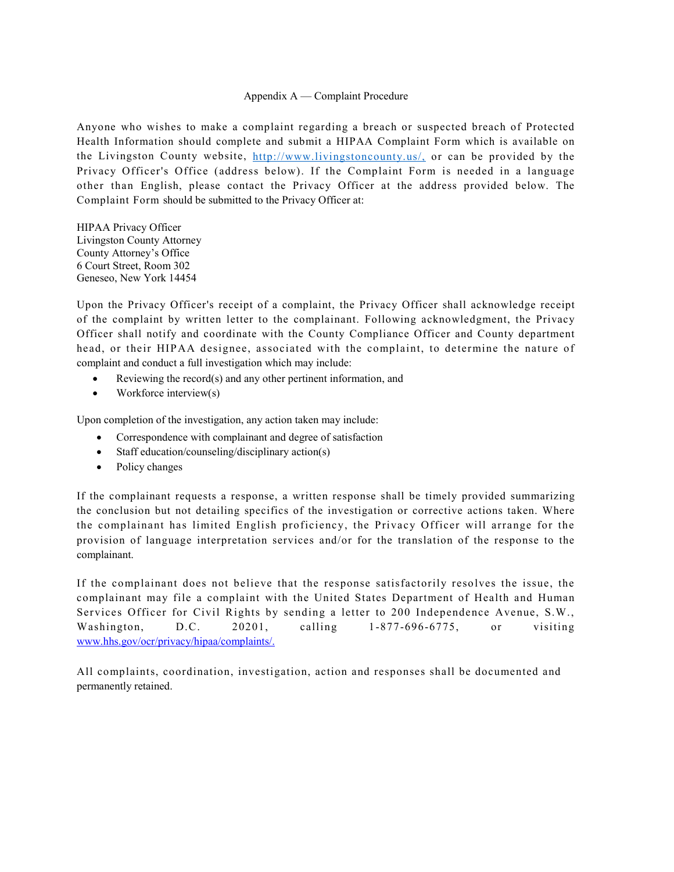#### Appendix A — Complaint Procedure

Anyone who wishes to make a complaint regarding a breach or suspected breach of Protected Health Information should complete and submit a HIPAA Complaint Form which is available on the Livingston County website,<http://www.livingstoncounty.us/,> or can be provided by the Privacy Officer's Office (address below). If the Complaint Form is needed in a language other than English, please contact the Privacy Officer at the address provided below. The Complaint Form should be submitted to the Privacy Officer at:

HIPAA Privacy Officer Livingston County Attorney County Attorney's Office 6 Court Street, Room 302 Geneseo, New York 14454

Upon the Privacy Officer's receipt of a complaint, the Privacy Officer shall acknowledge receipt of the complaint by written letter to the complainant. Following acknowledgment, the Privacy Officer shall notify and coordinate with the County Compliance Officer and County department head, or their HIPAA designee, associated with the complaint, to determine the nature of complaint and conduct a full investigation which may include:

- Reviewing the record(s) and any other pertinent information, and
- Workforce interview(s)

Upon completion of the investigation, any action taken may include:

- Correspondence with complainant and degree of satisfaction
- Staff education/counseling/disciplinary action(s)
- Policy changes

If the complainant requests a response, a written response shall be timely provided summarizing the conclusion but not detailing specifics of the investigation or corrective actions taken. Where the complainant has limited English proficiency, the Privacy Officer will arrange for the provision of language interpretation services and/or for the translation of the response to the complainant.

If the complainant does not believe that the response satisfactorily resolves the issue, the complainant may file a complaint with the United States Department of Health and Human Services Officer for Civil Rights by sending a letter to 200 Independence Avenue, S.W., Washington, D.C. 20201, calling 1 -877-696-6775, or visiting [www.hhs.gov/ocr/privacy/hipaa/complaints/.](http://www.hhs.gov/ocr/privacy/hipaa/complaints/)

All complaints, coordination, investigation, action and responses shall be documented and permanently retained.